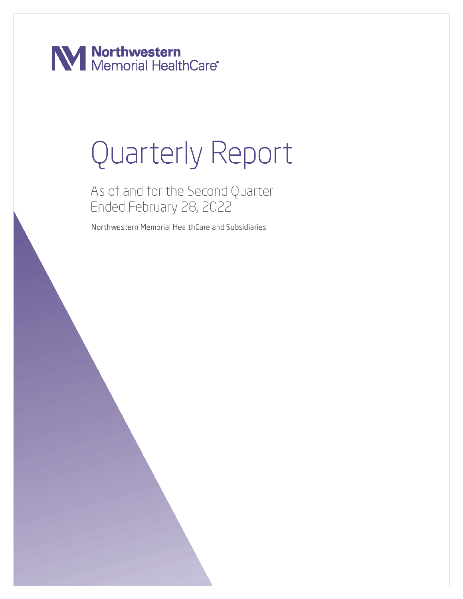**Nanchwestern**<br>Memorial HealthCare<sup>®</sup>

# Quarterly Report

As of and for the Second Quarter Ended February 28, 2022

Northwestern Memorial HealthCare and Subsidiaries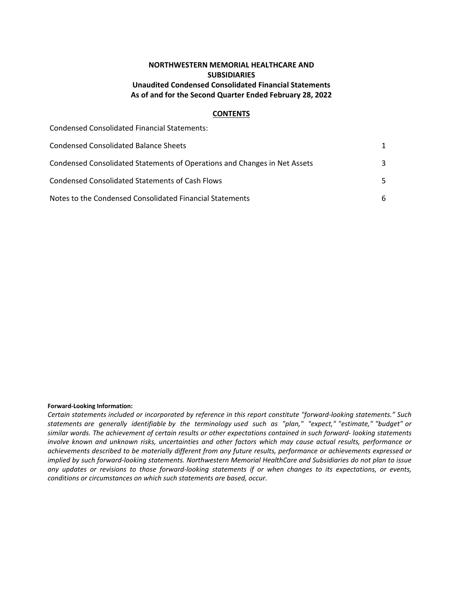# **NORTHWESTERN MEMORIAL HEALTHCARE AND SUBSIDIARIES Unaudited Condensed Consolidated Financial Statements** As of and for the Second Quarter Ended February 28, 2022

#### **CONTENTS**

| <b>Condensed Consolidated Financial Statements:</b>                       |     |
|---------------------------------------------------------------------------|-----|
| Condensed Consolidated Balance Sheets                                     | 1   |
| Condensed Consolidated Statements of Operations and Changes in Net Assets | 3   |
| Condensed Consolidated Statements of Cash Flows                           | .5. |
| Notes to the Condensed Consolidated Financial Statements                  | 6   |

#### **Forward-Looking Information:**

Certain statements included or incorporated by reference in this report constitute "forward-looking statements." Such statements are generally identifiable by the terminology used such as "plan," "expect," "estimate," "budget" or similar words. The achievement of certain results or other expectations contained in such forward- looking statements *involve known and unknown risks, uncertainties and other factors which may cause actual results, performance or* achievements described to be materially different from any future results, performance or achievements expressed or *implied by such forward-looking statements. Northwestern Memorial HealthCare and Subsidiaries do not plan to issue* any updates or revisions to those forward-looking statements if or when changes to its expectations, or events, *conditions or circumstances on which such statements are based, occur.*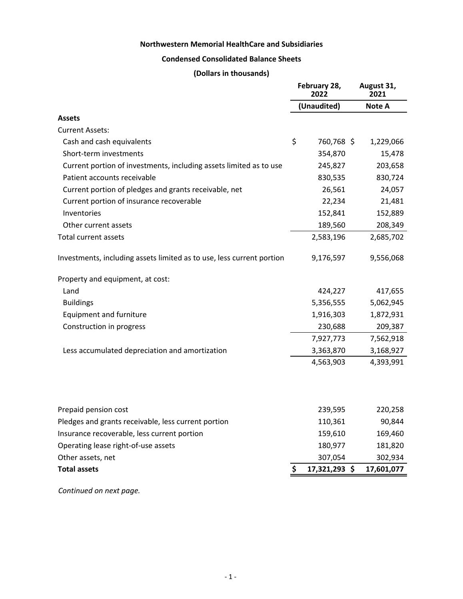# **Northwestern Memorial HealthCare and Subsidiaries**

# **Condensed Consolidated Balance Sheets**

# **(Dollars in thousands)**

<span id="page-2-0"></span>

|                                                                       |    | February 28,<br>2022 | August 31,<br>2021 |
|-----------------------------------------------------------------------|----|----------------------|--------------------|
|                                                                       |    | (Unaudited)          | Note A             |
| <b>Assets</b>                                                         |    |                      |                    |
| <b>Current Assets:</b>                                                |    |                      |                    |
| Cash and cash equivalents                                             | \$ | 760,768 \$           | 1,229,066          |
| Short-term investments                                                |    | 354,870              | 15,478             |
| Current portion of investments, including assets limited as to use    |    | 245,827              | 203,658            |
| Patient accounts receivable                                           |    | 830,535              | 830,724            |
| Current portion of pledges and grants receivable, net                 |    | 26,561               | 24,057             |
| Current portion of insurance recoverable                              |    | 22,234               | 21,481             |
| Inventories                                                           |    | 152,841              | 152,889            |
| Other current assets                                                  |    | 189,560              | 208,349            |
| Total current assets                                                  |    | 2,583,196            | 2,685,702          |
| Investments, including assets limited as to use, less current portion |    | 9,176,597            | 9,556,068          |
| Property and equipment, at cost:                                      |    |                      |                    |
| Land                                                                  |    | 424,227              | 417,655            |
| <b>Buildings</b>                                                      |    | 5,356,555            | 5,062,945          |
| <b>Equipment and furniture</b>                                        |    | 1,916,303            | 1,872,931          |
| Construction in progress                                              |    | 230,688              | 209,387            |
|                                                                       |    | 7,927,773            | 7,562,918          |
| Less accumulated depreciation and amortization                        |    | 3,363,870            | 3,168,927          |
|                                                                       |    | 4,563,903            | 4,393,991          |
|                                                                       |    |                      |                    |
| Prepaid pension cost                                                  |    | 239,595              | 220,258            |
| Pledges and grants receivable, less current portion                   |    | 110,361              | 90,844             |
| Insurance recoverable, less current portion                           |    | 159,610              | 169,460            |
| Operating lease right-of-use assets                                   |    | 180,977              | 181,820            |
| Other assets, net                                                     |    | 307,054              | 302,934            |
| <b>Total assets</b>                                                   | Ş. | 17,321,293 \$        | 17,601,077         |

 *Continued on next page.*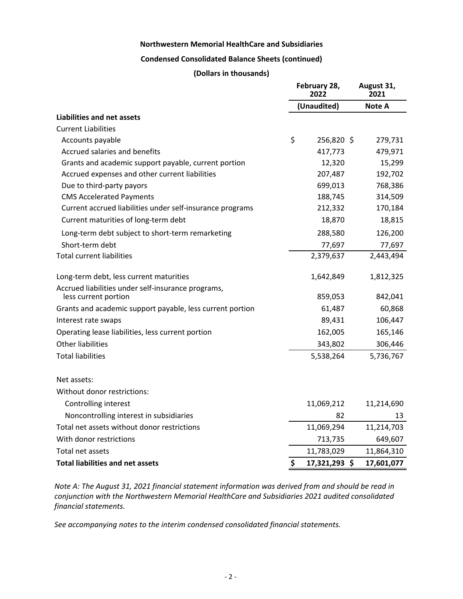#### **Northwestern Memorial HealthCare and Subsidiaries**

#### **Condensed Consolidated Balance Sheets (continued)**

#### **(Dollars in thousands)**

|                                                                            | February 28,<br>2022 |               | August 31,<br>2021 |
|----------------------------------------------------------------------------|----------------------|---------------|--------------------|
|                                                                            |                      | (Unaudited)   | Note A             |
| Liabilities and net assets                                                 |                      |               |                    |
| <b>Current Liabilities</b>                                                 |                      |               |                    |
| Accounts payable                                                           | \$                   | 256,820 \$    | 279,731            |
| Accrued salaries and benefits                                              |                      | 417,773       | 479,971            |
| Grants and academic support payable, current portion                       |                      | 12,320        | 15,299             |
| Accrued expenses and other current liabilities                             |                      | 207,487       | 192,702            |
| Due to third-party payors                                                  |                      | 699,013       | 768,386            |
| <b>CMS Accelerated Payments</b>                                            |                      | 188,745       | 314,509            |
| Current accrued liabilities under self-insurance programs                  |                      | 212,332       | 170,184            |
| Current maturities of long-term debt                                       |                      | 18,870        | 18,815             |
| Long-term debt subject to short-term remarketing                           |                      | 288,580       | 126,200            |
| Short-term debt                                                            |                      | 77,697        | 77,697             |
| <b>Total current liabilities</b>                                           |                      | 2,379,637     | 2,443,494          |
| Long-term debt, less current maturities                                    |                      | 1,642,849     | 1,812,325          |
| Accrued liabilities under self-insurance programs,<br>less current portion |                      | 859,053       | 842,041            |
| Grants and academic support payable, less current portion                  |                      | 61,487        | 60,868             |
| Interest rate swaps                                                        |                      | 89,431        | 106,447            |
| Operating lease liabilities, less current portion                          |                      | 162,005       | 165,146            |
| <b>Other liabilities</b>                                                   |                      | 343,802       | 306,446            |
| <b>Total liabilities</b>                                                   |                      | 5,538,264     | 5,736,767          |
| Net assets:                                                                |                      |               |                    |
| Without donor restrictions:                                                |                      |               |                    |
| Controlling interest                                                       |                      | 11,069,212    | 11,214,690         |
| Noncontrolling interest in subsidiaries                                    |                      | 82            | 13                 |
| Total net assets without donor restrictions                                |                      | 11,069,294    | 11,214,703         |
| With donor restrictions                                                    |                      | 713,735       | 649,607            |
| Total net assets                                                           |                      | 11,783,029    | 11,864,310         |
| <b>Total liabilities and net assets</b>                                    | \$                   | 17,321,293 \$ | 17,601,077         |

*Note A: The August 31, 2021 financial statement information was derived from and should be read in* conjunction with the Northwestern Memorial HealthCare and Subsidiaries 2021 audited consolidated *financial statements.*

See accompanying notes to the interim condensed consolidated financial statements.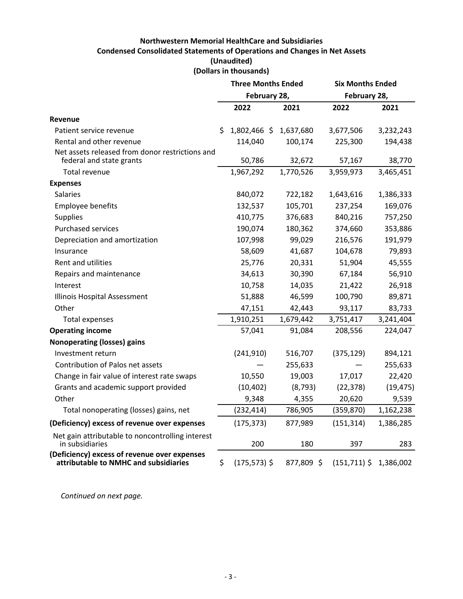# **Northwestern Memorial HealthCare and Subsidiaries Condensed Consolidated Statements of Operations and Changes in Net Assets (Unaudited) (Dollars in thousands)**

<span id="page-4-0"></span>

|                                                                                       | <b>Three Months Ended</b> |            | <b>Six Months Ended</b>  |           |  |
|---------------------------------------------------------------------------------------|---------------------------|------------|--------------------------|-----------|--|
|                                                                                       | February 28,              |            | February 28,             |           |  |
|                                                                                       | 2022                      | 2021       | 2022                     | 2021      |  |
| <b>Revenue</b>                                                                        |                           |            |                          |           |  |
| Patient service revenue                                                               | \$<br>1,802,466 \$        | 1,637,680  | 3,677,506                | 3,232,243 |  |
| Rental and other revenue                                                              | 114,040                   | 100,174    | 225,300                  | 194,438   |  |
| Net assets released from donor restrictions and<br>federal and state grants           | 50,786                    | 32,672     | 57,167                   | 38,770    |  |
| Total revenue                                                                         | 1,967,292                 | 1,770,526  | 3,959,973                | 3,465,451 |  |
| <b>Expenses</b>                                                                       |                           |            |                          |           |  |
| <b>Salaries</b>                                                                       | 840,072                   | 722,182    | 1,643,616                | 1,386,333 |  |
| Employee benefits                                                                     | 132,537                   | 105,701    | 237,254                  | 169,076   |  |
| <b>Supplies</b>                                                                       | 410,775                   | 376,683    | 840,216                  | 757,250   |  |
| <b>Purchased services</b>                                                             | 190,074                   | 180,362    | 374,660                  | 353,886   |  |
| Depreciation and amortization                                                         | 107,998                   | 99,029     | 216,576                  | 191,979   |  |
| Insurance                                                                             | 58,609                    | 41,687     | 104,678                  | 79,893    |  |
| Rent and utilities                                                                    | 25,776                    | 20,331     | 51,904                   | 45,555    |  |
| Repairs and maintenance                                                               | 34,613                    | 30,390     | 67,184                   | 56,910    |  |
| Interest                                                                              | 10,758                    | 14,035     | 21,422                   | 26,918    |  |
| Illinois Hospital Assessment                                                          | 51,888                    | 46,599     | 100,790                  | 89,871    |  |
| Other                                                                                 | 47,151                    | 42,443     | 93,117                   | 83,733    |  |
| Total expenses                                                                        | 1,910,251                 | 1,679,442  | 3,751,417                | 3,241,404 |  |
| <b>Operating income</b>                                                               | 57,041                    | 91,084     | 208,556                  | 224,047   |  |
| <b>Nonoperating (losses) gains</b>                                                    |                           |            |                          |           |  |
| Investment return                                                                     | (241, 910)                | 516,707    | (375, 129)               | 894,121   |  |
| Contribution of Palos net assets                                                      |                           | 255,633    |                          | 255,633   |  |
| Change in fair value of interest rate swaps                                           | 10,550                    | 19,003     | 17,017                   | 22,420    |  |
| Grants and academic support provided                                                  | (10, 402)                 | (8, 793)   | (22, 378)                | (19, 475) |  |
| Other                                                                                 | 9,348                     | 4,355      | 20,620                   | 9,539     |  |
| Total nonoperating (losses) gains, net                                                | (232, 414)                | 786,905    | (359, 870)               | 1,162,238 |  |
| (Deficiency) excess of revenue over expenses                                          | (175, 373)                | 877,989    | (151, 314)               | 1,386,285 |  |
| Net gain attributable to noncontrolling interest<br>in subsidiaries                   | 200                       | 180        | 397                      | 283       |  |
| (Deficiency) excess of revenue over expenses<br>attributable to NMHC and subsidiaries | \$<br>$(175, 573)$ \$     | 877,809 \$ | $(151,711)$ \$ 1,386,002 |           |  |

Continued on next page.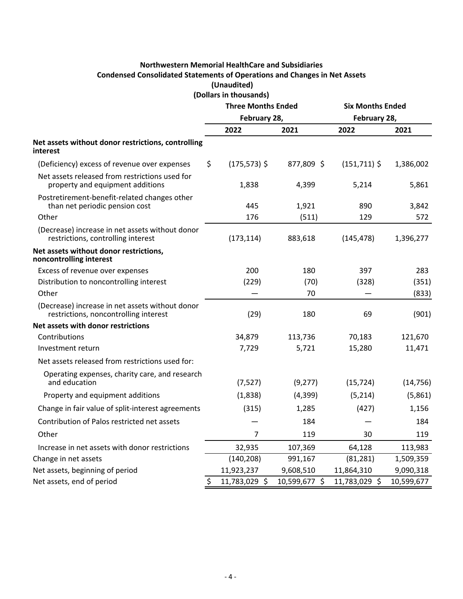# **Northwestern Memorial HealthCare and Subsidiaries Condensed Consolidated Statements of Operations and Changes in Net Assets (Unaudited)**

**(Dollars in thousands)**

|                                                                                          | <b>Three Months Ended</b> |                 | <b>Six Months Ended</b> |                 |            |
|------------------------------------------------------------------------------------------|---------------------------|-----------------|-------------------------|-----------------|------------|
|                                                                                          | February 28,              |                 |                         | February 28,    |            |
|                                                                                          |                           | 2022            | 2021                    | 2022            | 2021       |
| Net assets without donor restrictions, controlling<br>interest                           |                           |                 |                         |                 |            |
| (Deficiency) excess of revenue over expenses                                             | \$                        | $(175, 573)$ \$ | 877,809 \$              | $(151, 711)$ \$ | 1,386,002  |
| Net assets released from restrictions used for<br>property and equipment additions       |                           | 1,838           | 4,399                   | 5,214           | 5,861      |
| Postretirement-benefit-related changes other<br>than net periodic pension cost           |                           | 445             | 1,921                   | 890             | 3,842      |
| Other                                                                                    |                           | 176             | (511)                   | 129             | 572        |
| (Decrease) increase in net assets without donor<br>restrictions, controlling interest    |                           | (173, 114)      | 883,618                 | (145, 478)      | 1,396,277  |
| Net assets without donor restrictions,<br>noncontrolling interest                        |                           |                 |                         |                 |            |
| Excess of revenue over expenses                                                          |                           | 200             | 180                     | 397             | 283        |
| Distribution to noncontrolling interest                                                  |                           | (229)           | (70)                    | (328)           | (351)      |
| Other                                                                                    |                           |                 | 70                      |                 | (833)      |
| (Decrease) increase in net assets without donor<br>restrictions, noncontrolling interest |                           | (29)            | 180                     | 69              | (901)      |
| Net assets with donor restrictions                                                       |                           |                 |                         |                 |            |
| Contributions                                                                            |                           | 34,879          | 113,736                 | 70,183          | 121,670    |
| Investment return                                                                        |                           | 7,729           | 5,721                   | 15,280          | 11,471     |
| Net assets released from restrictions used for:                                          |                           |                 |                         |                 |            |
| Operating expenses, charity care, and research<br>and education                          |                           | (7,527)         | (9, 277)                | (15, 724)       | (14, 756)  |
| Property and equipment additions                                                         |                           | (1,838)         | (4,399)                 | (5,214)         | (5,861)    |
| Change in fair value of split-interest agreements                                        |                           | (315)           | 1,285                   | (427)           | 1,156      |
| Contribution of Palos restricted net assets                                              |                           |                 | 184                     |                 | 184        |
| Other                                                                                    |                           | 7               | 119                     | 30              | 119        |
| Increase in net assets with donor restrictions                                           |                           | 32,935          | 107,369                 | 64,128          | 113,983    |
| Change in net assets                                                                     |                           | (140, 208)      | 991,167                 | (81, 281)       | 1,509,359  |
| Net assets, beginning of period                                                          |                           | 11,923,237      | 9,608,510               | 11,864,310      | 9,090,318  |
| Net assets, end of period                                                                | \$                        | 11,783,029 \$   | 10,599,677 \$           | 11,783,029 \$   | 10,599,677 |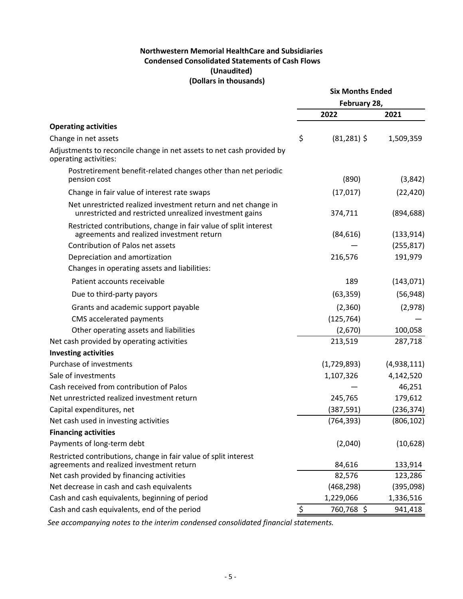# **Northwestern Memorial HealthCare and Subsidiaries Condensed Consolidated Statements of Cash Flows (Unaudited) (Dollars in thousands)**

<span id="page-6-0"></span>

|                                                                                                                          | <b>Six Months Ended</b> |             |  |
|--------------------------------------------------------------------------------------------------------------------------|-------------------------|-------------|--|
|                                                                                                                          | February 28,            |             |  |
|                                                                                                                          | 2022                    | 2021        |  |
| <b>Operating activities</b>                                                                                              |                         |             |  |
| Change in net assets                                                                                                     | \$<br>$(81, 281)$ \$    | 1,509,359   |  |
| Adjustments to reconcile change in net assets to net cash provided by<br>operating activities:                           |                         |             |  |
| Postretirement benefit-related changes other than net periodic<br>pension cost                                           | (890)                   | (3,842)     |  |
| Change in fair value of interest rate swaps                                                                              | (17, 017)               | (22, 420)   |  |
| Net unrestricted realized investment return and net change in<br>unrestricted and restricted unrealized investment gains | 374,711                 | (894, 688)  |  |
| Restricted contributions, change in fair value of split interest<br>agreements and realized investment return            | (84, 616)               | (133, 914)  |  |
| Contribution of Palos net assets                                                                                         |                         | (255, 817)  |  |
| Depreciation and amortization                                                                                            | 216,576                 | 191,979     |  |
| Changes in operating assets and liabilities:                                                                             |                         |             |  |
| Patient accounts receivable                                                                                              | 189                     | (143, 071)  |  |
| Due to third-party payors                                                                                                | (63, 359)               | (56, 948)   |  |
| Grants and academic support payable                                                                                      | (2,360)                 | (2,978)     |  |
| CMS accelerated payments                                                                                                 | (125, 764)              |             |  |
| Other operating assets and liabilities                                                                                   | (2,670)                 | 100,058     |  |
| Net cash provided by operating activities                                                                                | 213,519                 | 287,718     |  |
| <b>Investing activities</b>                                                                                              |                         |             |  |
| Purchase of investments                                                                                                  | (1,729,893)             | (4,938,111) |  |
| Sale of investments                                                                                                      | 1,107,326               | 4,142,520   |  |
| Cash received from contribution of Palos                                                                                 |                         | 46,251      |  |
| Net unrestricted realized investment return                                                                              | 245,765                 | 179,612     |  |
| Capital expenditures, net                                                                                                | (387, 591)              | (236, 374)  |  |
| Net cash used in investing activities                                                                                    | (764, 393)              | (806, 102)  |  |
| <b>Financing activities</b>                                                                                              |                         |             |  |
| Payments of long-term debt                                                                                               | (2,040)                 | (10,628)    |  |
| Restricted contributions, change in fair value of split interest<br>agreements and realized investment return            | 84,616                  | 133,914     |  |
| Net cash provided by financing activities                                                                                | 82,576                  | 123,286     |  |
| Net decrease in cash and cash equivalents                                                                                | (468, 298)              | (395,098)   |  |
| Cash and cash equivalents, beginning of period                                                                           | 1,229,066               | 1,336,516   |  |
| Cash and cash equivalents, end of the period                                                                             | \$<br>760,768 \$        | 941,418     |  |

See accompanying notes to the interim condensed consolidated financial statements.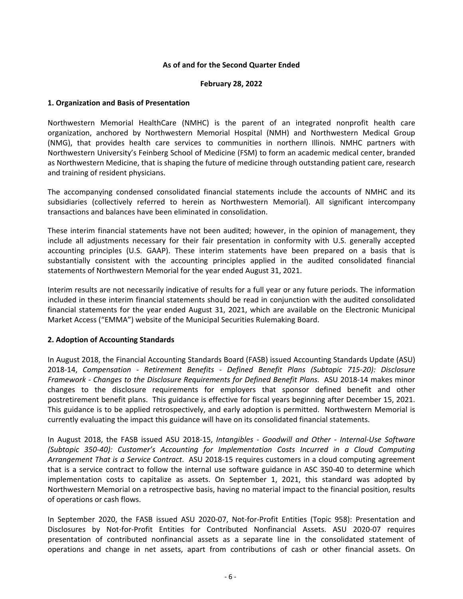#### As of and for the Second Quarter Ended

#### **February 28, 2022**

#### <span id="page-7-0"></span>**1. Organization and Basis of Presentation**

Northwestern Memorial HealthCare (NMHC) is the parent of an integrated nonprofit health care organization, anchored by Northwestern Memorial Hospital (NMH) and Northwestern Medical Group (NMG), that provides health care services to communities in northern Illinois. NMHC partners with Northwestern University's Feinberg School of Medicine (FSM) to form an academic medical center, branded as Northwestern Medicine, that is shaping the future of medicine through outstanding patient care, research and training of resident physicians.

The accompanying condensed consolidated financial statements include the accounts of NMHC and its subsidiaries (collectively referred to herein as Northwestern Memorial). All significant intercompany transactions and balances have been eliminated in consolidation.

These interim financial statements have not been audited; however, in the opinion of management, they include all adjustments necessary for their fair presentation in conformity with U.S. generally accepted accounting principles (U.S. GAAP). These interim statements have been prepared on a basis that is substantially consistent with the accounting principles applied in the audited consolidated financial statements of Northwestern Memorial for the year ended August 31, 2021.

Interim results are not necessarily indicative of results for a full year or any future periods. The information included in these interim financial statements should be read in conjunction with the audited consolidated financial statements for the year ended August 31, 2021, which are available on the Electronic Municipal Market Access ("EMMA") website of the Municipal Securities Rulemaking Board.

#### **2. Adoption of Accounting Standards**

In August 2018, the Financial Accounting Standards Board (FASB) issued Accounting Standards Update (ASU) 2018-14, Compensation - Retirement Benefits - Defined Benefit Plans (Subtopic 715-20): Disclosure Framework - Changes to the Disclosure Requirements for Defined Benefit Plans. ASU 2018-14 makes minor changes to the disclosure requirements for employers that sponsor defined benefit and other postretirement benefit plans. This guidance is effective for fiscal years beginning after December 15, 2021. This guidance is to be applied retrospectively, and early adoption is permitted. Northwestern Memorial is currently evaluating the impact this guidance will have on its consolidated financial statements.

In August 2018, the FASB issued ASU 2018-15, *Intangibles - Goodwill and Other - Internal-Use Software (Subtopic 350-40): Customer's Accounting for Implementation Costs Incurred in a Cloud Computing Arrangement That is a Service Contract.* ASU 2018-15 requires customers in a cloud computing agreement that is a service contract to follow the internal use software guidance in ASC 350-40 to determine which implementation costs to capitalize as assets. On September 1, 2021, this standard was adopted by Northwestern Memorial on a retrospective basis, having no material impact to the financial position, results of operations or cash flows.

In September 2020, the FASB issued ASU 2020-07, Not-for-Profit Entities (Topic 958): Presentation and Disclosures by Not-for-Profit Entities for Contributed Nonfinancial Assets. ASU 2020-07 requires presentation of contributed nonfinancial assets as a separate line in the consolidated statement of operations and change in net assets, apart from contributions of cash or other financial assets. On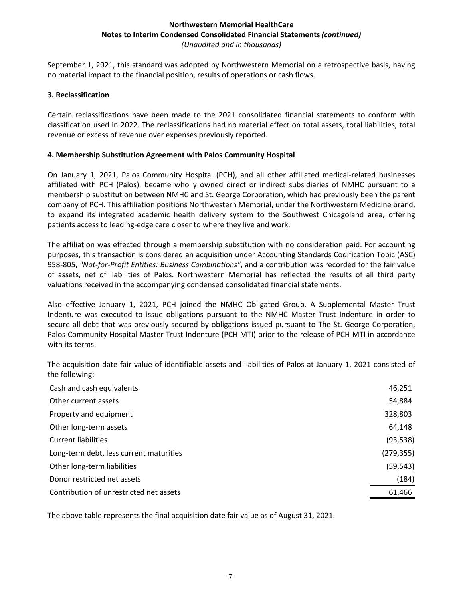September 1, 2021, this standard was adopted by Northwestern Memorial on a retrospective basis, having no material impact to the financial position, results of operations or cash flows.

#### **3. Reclassification**

Certain reclassifications have been made to the 2021 consolidated financial statements to conform with classification used in 2022. The reclassifications had no material effect on total assets, total liabilities, total revenue or excess of revenue over expenses previously reported.

#### **4. Membership Substitution Agreement with Palos Community Hospital**

On January 1, 2021, Palos Community Hospital (PCH), and all other affiliated medical-related businesses affiliated with PCH (Palos), became wholly owned direct or indirect subsidiaries of NMHC pursuant to a membership substitution between NMHC and St. George Corporation, which had previously been the parent company of PCH. This affiliation positions Northwestern Memorial, under the Northwestern Medicine brand, to expand its integrated academic health delivery system to the Southwest Chicagoland area, offering patients access to leading-edge care closer to where they live and work.

The affiliation was effected through a membership substitution with no consideration paid. For accounting purposes, this transaction is considered an acquisition under Accounting Standards Codification Topic (ASC) 958-805, "Not-for-Profit Entities: Business Combinations", and a contribution was recorded for the fair value of assets, net of liabilities of Palos. Northwestern Memorial has reflected the results of all third party valuations received in the accompanying condensed consolidated financial statements.

Also effective January 1, 2021, PCH joined the NMHC Obligated Group. A Supplemental Master Trust Indenture was executed to issue obligations pursuant to the NMHC Master Trust Indenture in order to secure all debt that was previously secured by obligations issued pursuant to The St. George Corporation, Palos Community Hospital Master Trust Indenture (PCH MTI) prior to the release of PCH MTI in accordance with its terms.

The acquisition-date fair value of identifiable assets and liabilities of Palos at January 1, 2021 consisted of the following:

| Cash and cash equivalents               | 46,251     |
|-----------------------------------------|------------|
| Other current assets                    | 54,884     |
| Property and equipment                  | 328,803    |
| Other long-term assets                  | 64,148     |
| <b>Current liabilities</b>              | (93, 538)  |
| Long-term debt, less current maturities | (279, 355) |
| Other long-term liabilities             | (59, 543)  |
| Donor restricted net assets             | (184)      |
| Contribution of unrestricted net assets | 61,466     |

The above table represents the final acquisition date fair value as of August 31, 2021.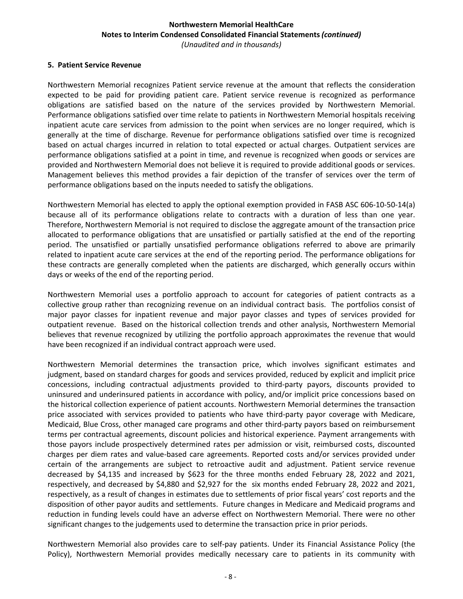#### **5. Patient Service Revenue**

Northwestern Memorial recognizes Patient service revenue at the amount that reflects the consideration expected to be paid for providing patient care. Patient service revenue is recognized as performance obligations are satisfied based on the nature of the services provided by Northwestern Memorial. Performance obligations satisfied over time relate to patients in Northwestern Memorial hospitals receiving inpatient acute care services from admission to the point when services are no longer required, which is generally at the time of discharge. Revenue for performance obligations satisfied over time is recognized based on actual charges incurred in relation to total expected or actual charges. Outpatient services are performance obligations satisfied at a point in time, and revenue is recognized when goods or services are provided and Northwestern Memorial does not believe it is required to provide additional goods or services. Management believes this method provides a fair depiction of the transfer of services over the term of performance obligations based on the inputs needed to satisfy the obligations.

Northwestern Memorial has elected to apply the optional exemption provided in FASB ASC 606-10-50-14(a) because all of its performance obligations relate to contracts with a duration of less than one year. Therefore, Northwestern Memorial is not required to disclose the aggregate amount of the transaction price allocated to performance obligations that are unsatisfied or partially satisfied at the end of the reporting period. The unsatisfied or partially unsatisfied performance obligations referred to above are primarily related to inpatient acute care services at the end of the reporting period. The performance obligations for these contracts are generally completed when the patients are discharged, which generally occurs within days or weeks of the end of the reporting period.

Northwestern Memorial uses a portfolio approach to account for categories of patient contracts as a collective group rather than recognizing revenue on an individual contract basis. The portfolios consist of major payor classes for inpatient revenue and major payor classes and types of services provided for outpatient revenue. Based on the historical collection trends and other analysis, Northwestern Memorial believes that revenue recognized by utilizing the portfolio approach approximates the revenue that would have been recognized if an individual contract approach were used.

Northwestern Memorial determines the transaction price, which involves significant estimates and judgment, based on standard charges for goods and services provided, reduced by explicit and implicit price concessions, including contractual adjustments provided to third-party payors, discounts provided to uninsured and underinsured patients in accordance with policy, and/or implicit price concessions based on the historical collection experience of patient accounts. Northwestern Memorial determines the transaction price associated with services provided to patients who have third-party payor coverage with Medicare, Medicaid, Blue Cross, other managed care programs and other third-party payors based on reimbursement terms per contractual agreements, discount policies and historical experience. Payment arrangements with those payors include prospectively determined rates per admission or visit, reimbursed costs, discounted charges per diem rates and value-based care agreements. Reported costs and/or services provided under certain of the arrangements are subject to retroactive audit and adjustment. Patient service revenue decreased by \$4,135 and increased by \$623 for the three months ended February 28, 2022 and 2021, respectively, and decreased by \$4,880 and \$2,927 for the six months ended February 28, 2022 and 2021, respectively, as a result of changes in estimates due to settlements of prior fiscal years' cost reports and the disposition of other payor audits and settlements. Future changes in Medicare and Medicaid programs and reduction in funding levels could have an adverse effect on Northwestern Memorial. There were no other significant changes to the judgements used to determine the transaction price in prior periods.

Northwestern Memorial also provides care to self-pay patients. Under its Financial Assistance Policy (the Policy), Northwestern Memorial provides medically necessary care to patients in its community with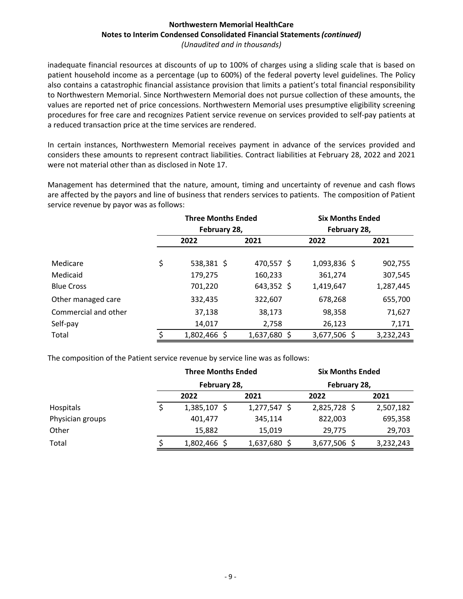inadequate financial resources at discounts of up to 100% of charges using a sliding scale that is based on patient household income as a percentage (up to 600%) of the federal poverty level guidelines. The Policy also contains a catastrophic financial assistance provision that limits a patient's total financial responsibility to Northwestern Memorial. Since Northwestern Memorial does not pursue collection of these amounts, the values are reported net of price concessions. Northwestern Memorial uses presumptive eligibility screening procedures for free care and recognizes Patient service revenue on services provided to self-pay patients at a reduced transaction price at the time services are rendered.

In certain instances, Northwestern Memorial receives payment in advance of the services provided and considers these amounts to represent contract liabilities. Contract liabilities at February 28, 2022 and 2021 were not material other than as disclosed in Note 17.

Management has determined that the nature, amount, timing and uncertainty of revenue and cash flows are affected by the payors and line of business that renders services to patients. The composition of Patient service revenue by payor was as follows:

|                      | <b>Three Months Ended</b> |              |  | <b>Six Months Ended</b> |           |  |
|----------------------|---------------------------|--------------|--|-------------------------|-----------|--|
|                      | February 28,              |              |  | February 28,            |           |  |
|                      | 2022                      | 2021         |  | 2022                    | 2021      |  |
|                      |                           |              |  |                         |           |  |
| Medicare             | \$<br>538,381 \$          | 470,557 \$   |  | 1,093,836 \$            | 902,755   |  |
| Medicaid             | 179,275                   | 160,233      |  | 361,274                 | 307,545   |  |
| <b>Blue Cross</b>    | 701,220                   | $643,352$ \$ |  | 1,419,647               | 1,287,445 |  |
| Other managed care   | 332,435                   | 322,607      |  | 678,268                 | 655,700   |  |
| Commercial and other | 37,138                    | 38,173       |  | 98,358                  | 71,627    |  |
| Self-pay             | 14,017                    | 2,758        |  | 26,123                  | 7,171     |  |
| Total                | 1,802,466 \$              | 1,637,680 \$ |  | 3,677,506 \$            | 3,232,243 |  |

The composition of the Patient service revenue by service line was as follows:

|                  | <b>Three Months Ended</b> |                | <b>Six Months Ended</b> |           |  |
|------------------|---------------------------|----------------|-------------------------|-----------|--|
|                  | February 28,              |                | February 28,            |           |  |
|                  | 2022                      | 2021           | 2022                    | 2021      |  |
| Hospitals        | $1,385,107$ \$            | $1,277,547$ \$ | 2,825,728 \$            | 2,507,182 |  |
| Physician groups | 401,477                   | 345,114        | 822,003                 | 695,358   |  |
| Other            | 15,882                    | 15.019         | 29,775                  | 29,703    |  |
| Total            | 1,802,466 \$              | 1,637,680 \$   | 3,677,506 \$            | 3,232,243 |  |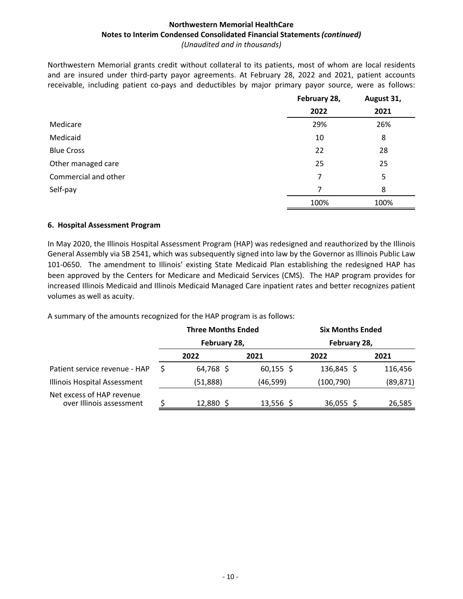Northwestern Memorial grants credit without collateral to its patients, most of whom are local residents and are insured under third-party payor agreements. At February 28, 2022 and 2021, patient accounts receivable, including patient co-pays and deductibles by major primary payor source, were as follows:

|                      | February 28, | August 31, |
|----------------------|--------------|------------|
|                      | 2022         | 2021       |
| Medicare             | 29%          | 26%        |
| Medicaid             | 10           | 8          |
| <b>Blue Cross</b>    | 22           | 28         |
| Other managed care   | 25           | 25         |
| Commercial and other | 7            | 5          |
| Self-pay             | 7            | 8          |
|                      | 100%         | 100%       |

#### **6. Hospital Assessment Program**

In May 2020, the Illinois Hospital Assessment Program (HAP) was redesigned and reauthorized by the Illinois General Assembly via SB 2541, which was subsequently signed into law by the Governor as Illinois Public Law 101-0650. The amendment to Illinois' existing State Medicaid Plan establishing the redesigned HAP has been approved by the Centers for Medicare and Medicaid Services (CMS). The HAP program provides for increased Illinois Medicaid and Illinois Medicaid Managed Care inpatient rates and better recognizes patient volumes as well as acuity.

A summary of the amounts recognized for the HAP program is as follows:

|                                                       |   | <b>Three Months Ended</b> |             | <b>Six Months Ended</b> |           |  |
|-------------------------------------------------------|---|---------------------------|-------------|-------------------------|-----------|--|
|                                                       |   | February 28,              |             | February 28,            |           |  |
|                                                       |   | 2022                      | 2021        | 2022                    | 2021      |  |
| Patient service revenue - HAP                         | S | 64,768 \$                 | $60,155$ \$ | 136,845 \$              | 116,456   |  |
| Illinois Hospital Assessment                          |   | (51,888)                  | (46, 599)   | (100,790)               | (89, 871) |  |
| Net excess of HAP revenue<br>over Illinois assessment |   | 12,880 \$                 | $13,556$ \$ | $36,055$ \$             | 26,585    |  |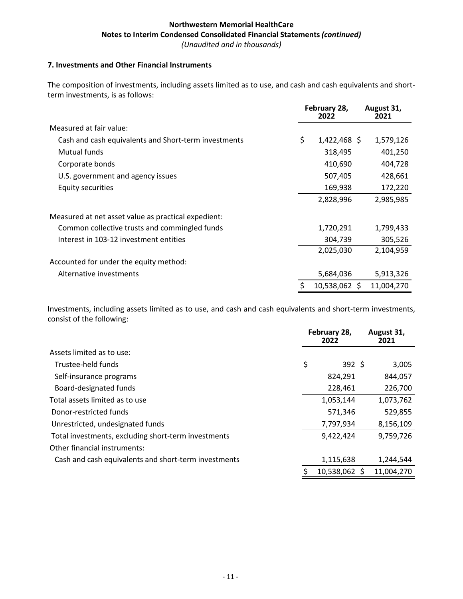#### **7. Investments and Other Financial Instruments**

The composition of investments, including assets limited as to use, and cash and cash equivalents and shortterm investments, is as follows:

|                                                      | February 28,<br>2022 | August 31,<br>2021 |
|------------------------------------------------------|----------------------|--------------------|
| Measured at fair value:                              |                      |                    |
| Cash and cash equivalents and Short-term investments | \$<br>$1,422,468$ \$ | 1,579,126          |
| Mutual funds                                         | 318,495              | 401,250            |
| Corporate bonds                                      | 410,690              | 404,728            |
| U.S. government and agency issues                    | 507,405              | 428,661            |
| Equity securities                                    | 169,938              | 172,220            |
|                                                      | 2,828,996            | 2,985,985          |
| Measured at net asset value as practical expedient:  |                      |                    |
| Common collective trusts and commingled funds        | 1,720,291            | 1,799,433          |
| Interest in 103-12 investment entities               | 304,739              | 305,526            |
|                                                      | 2,025,030            | 2,104,959          |
| Accounted for under the equity method:               |                      |                    |
| Alternative investments                              | 5,684,036            | 5,913,326          |
|                                                      | \$<br>10,538,062 \$  | 11,004,270         |

Investments, including assets limited as to use, and cash and cash equivalents and short-term investments, consist of the following:

|                                                      | February 28,<br>2022 | August 31,<br>2021 |
|------------------------------------------------------|----------------------|--------------------|
| Assets limited as to use:                            |                      |                    |
| Trustee-held funds                                   | \$<br>392 \$         | 3,005              |
| Self-insurance programs                              | 824,291              | 844,057            |
| Board-designated funds                               | 228,461              | 226,700            |
| Total assets limited as to use                       | 1,053,144            | 1,073,762          |
| Donor-restricted funds                               | 571,346              | 529,855            |
| Unrestricted, undesignated funds                     | 7,797,934            | 8,156,109          |
| Total investments, excluding short-term investments  | 9,422,424            | 9,759,726          |
| Other financial instruments:                         |                      |                    |
| Cash and cash equivalents and short-term investments | 1,115,638            | 1,244,544          |
|                                                      | 10,538,062 \$        | 11,004,270         |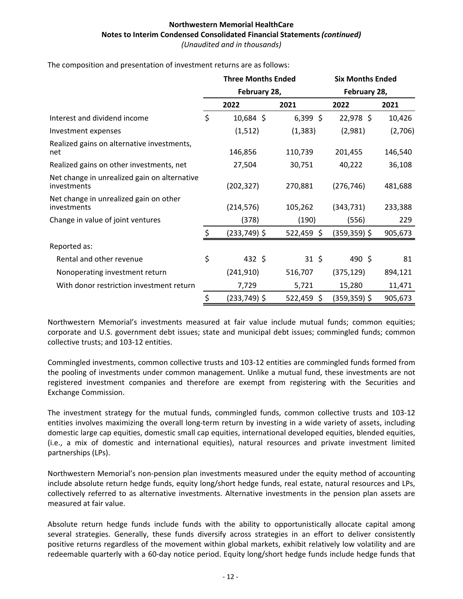The composition and presentation of investment returns are as follows:

|                                                             | <b>Three Months Ended</b> |              |            | <b>Six Months Ended</b> |         |  |
|-------------------------------------------------------------|---------------------------|--------------|------------|-------------------------|---------|--|
|                                                             |                           | February 28, |            | February 28,            |         |  |
|                                                             |                           | 2022         | 2021       | 2022                    | 2021    |  |
| Interest and dividend income                                | \$                        | $10,684$ \$  | $6,399$ \$ | 22,978 \$               | 10,426  |  |
| Investment expenses                                         |                           | (1, 512)     | (1, 383)   | (2,981)                 | (2,706) |  |
| Realized gains on alternative investments,<br>net           |                           | 146,856      | 110,739    | 201,455                 | 146,540 |  |
| Realized gains on other investments, net                    |                           | 27,504       | 30,751     | 40,222                  | 36,108  |  |
| Net change in unrealized gain on alternative<br>investments |                           | (202, 327)   | 270,881    | (276, 746)              | 481,688 |  |
| Net change in unrealized gain on other<br>investments       |                           | (214, 576)   | 105,262    | (343, 731)              | 233,388 |  |
| Change in value of joint ventures                           |                           | (378)        | (190)      | (556)                   | 229     |  |
|                                                             | \$                        | (233,749) \$ | 522,459\$  | $(359, 359)$ \$         | 905,673 |  |
| Reported as:                                                |                           |              |            |                         |         |  |
| Rental and other revenue                                    | \$                        | $432 \;$ \$  | $31 \;$ \$ | 490 \$                  | 81      |  |
| Nonoperating investment return                              |                           | (241,910)    | 516,707    | (375, 129)              | 894,121 |  |
| With donor restriction investment return                    |                           | 7,729        | 5,721      | 15,280                  | 11,471  |  |
|                                                             | \$                        | (233,749) \$ | 522,459 \$ | $(359, 359)$ \$         | 905,673 |  |

Northwestern Memorial's investments measured at fair value include mutual funds; common equities; corporate and U.S. government debt issues; state and municipal debt issues; commingled funds; common collective trusts; and 103-12 entities.

Commingled investments, common collective trusts and 103-12 entities are commingled funds formed from the pooling of investments under common management. Unlike a mutual fund, these investments are not registered investment companies and therefore are exempt from registering with the Securities and Exchange Commission.

The investment strategy for the mutual funds, commingled funds, common collective trusts and 103-12 entities involves maximizing the overall long-term return by investing in a wide variety of assets, including domestic large cap equities, domestic small cap equities, international developed equities, blended equities, (i.e., a mix of domestic and international equities), natural resources and private investment limited partnerships (LPs).

Northwestern Memorial's non-pension plan investments measured under the equity method of accounting include absolute return hedge funds, equity long/short hedge funds, real estate, natural resources and LPs, collectively referred to as alternative investments. Alternative investments in the pension plan assets are measured at fair value.

Absolute return hedge funds include funds with the ability to opportunistically allocate capital among several strategies. Generally, these funds diversify across strategies in an effort to deliver consistently positive returns regardless of the movement within global markets, exhibit relatively low volatility and are redeemable quarterly with a 60-day notice period. Equity long/short hedge funds include hedge funds that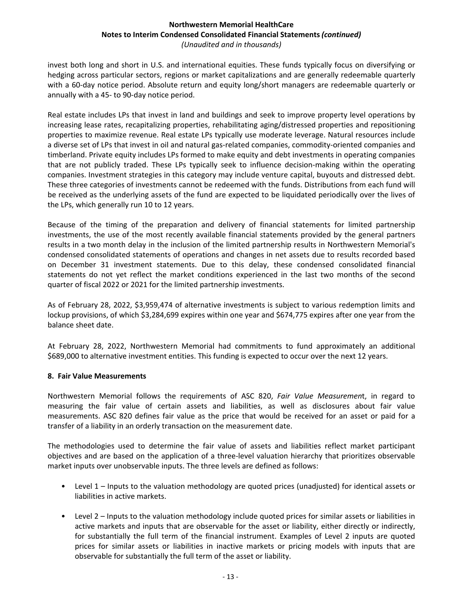invest both long and short in U.S. and international equities. These funds typically focus on diversifying or hedging across particular sectors, regions or market capitalizations and are generally redeemable quarterly with a 60-day notice period. Absolute return and equity long/short managers are redeemable quarterly or annually with a 45- to 90-day notice period.

Real estate includes LPs that invest in land and buildings and seek to improve property level operations by increasing lease rates, recapitalizing properties, rehabilitating aging/distressed properties and repositioning properties to maximize revenue. Real estate LPs typically use moderate leverage. Natural resources include a diverse set of LPs that invest in oil and natural gas-related companies, commodity-oriented companies and timberland. Private equity includes LPs formed to make equity and debt investments in operating companies that are not publicly traded. These LPs typically seek to influence decision-making within the operating companies. Investment strategies in this category may include venture capital, buyouts and distressed debt. These three categories of investments cannot be redeemed with the funds. Distributions from each fund will be received as the underlying assets of the fund are expected to be liquidated periodically over the lives of the LPs, which generally run 10 to 12 years.

Because of the timing of the preparation and delivery of financial statements for limited partnership investments, the use of the most recently available financial statements provided by the general partners results in a two month delay in the inclusion of the limited partnership results in Northwestern Memorial's condensed consolidated statements of operations and changes in net assets due to results recorded based on December 31 investment statements. Due to this delay, these condensed consolidated financial statements do not yet reflect the market conditions experienced in the last two months of the second quarter of fiscal 2022 or 2021 for the limited partnership investments.

As of February 28, 2022, \$3,959,474 of alternative investments is subject to various redemption limits and lockup provisions, of which \$3,284,699 expires within one year and \$674,775 expires after one year from the balance sheet date.

At February 28, 2022, Northwestern Memorial had commitments to fund approximately an additional \$689,000 to alternative investment entities. This funding is expected to occur over the next 12 years.

# **8. Fair Value Measurements**

Northwestern Memorial follows the requirements of ASC 820, *Fair Value Measurement*, in regard to measuring the fair value of certain assets and liabilities, as well as disclosures about fair value measurements. ASC 820 defines fair value as the price that would be received for an asset or paid for a transfer of a liability in an orderly transaction on the measurement date.

The methodologies used to determine the fair value of assets and liabilities reflect market participant objectives and are based on the application of a three-level valuation hierarchy that prioritizes observable market inputs over unobservable inputs. The three levels are defined as follows:

- Level  $1$  Inputs to the valuation methodology are quoted prices (unadjusted) for identical assets or liabilities in active markets.
- Level  $2$  Inputs to the valuation methodology include quoted prices for similar assets or liabilities in active markets and inputs that are observable for the asset or liability, either directly or indirectly, for substantially the full term of the financial instrument. Examples of Level 2 inputs are quoted prices for similar assets or liabilities in inactive markets or pricing models with inputs that are observable for substantially the full term of the asset or liability.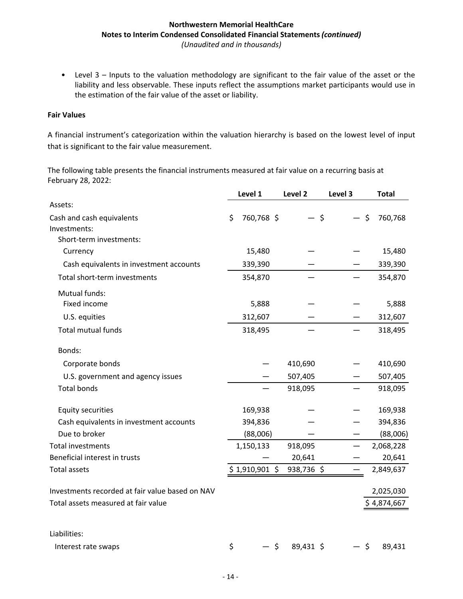• Level 3 – Inputs to the valuation methodology are significant to the fair value of the asset or the liability and less observable. These inputs reflect the assumptions market participants would use in the estimation of the fair value of the asset or liability.

#### **Fair Values**

A financial instrument's categorization within the valuation hierarchy is based on the lowest level of input that is significant to the fair value measurement.

The following table presents the financial instruments measured at fair value on a recurring basis at February 28, 2022:

|                                                 | Level 1          | Level 2    | Level 3 | <b>Total</b> |
|-------------------------------------------------|------------------|------------|---------|--------------|
| Assets:                                         |                  |            |         |              |
| Cash and cash equivalents                       | \$<br>760,768 \$ | — \$       | — \$    | 760,768      |
| Investments:                                    |                  |            |         |              |
| Short-term investments:                         |                  |            |         |              |
| Currency                                        | 15,480           |            |         | 15,480       |
| Cash equivalents in investment accounts         | 339,390          |            |         | 339,390      |
| Total short-term investments                    | 354,870          |            |         | 354,870      |
| <b>Mutual funds:</b>                            |                  |            |         |              |
| Fixed income                                    | 5,888            |            |         | 5,888        |
| U.S. equities                                   | 312,607          |            |         | 312,607      |
| Total mutual funds                              | 318,495          |            |         | 318,495      |
| Bonds:                                          |                  |            |         |              |
| Corporate bonds                                 |                  | 410,690    |         | 410,690      |
| U.S. government and agency issues               |                  | 507,405    |         | 507,405      |
| <b>Total bonds</b>                              |                  | 918,095    |         | 918,095      |
| <b>Equity securities</b>                        | 169,938          |            |         | 169,938      |
| Cash equivalents in investment accounts         | 394,836          |            |         | 394,836      |
| Due to broker                                   | (88,006)         |            |         | (88,006)     |
| <b>Total investments</b>                        | 1,150,133        | 918,095    |         | 2,068,228    |
| Beneficial interest in trusts                   |                  | 20,641     |         | 20,641       |
| <b>Total assets</b>                             | $$1,910,901$ \$  | 938,736 \$ |         | 2,849,637    |
| Investments recorded at fair value based on NAV |                  |            |         | 2,025,030    |
| Total assets measured at fair value             |                  |            |         | \$4,874,667  |
| Liabilities:                                    |                  |            |         |              |
|                                                 |                  |            |         |              |
| Interest rate swaps                             | \$<br>— \$       | 89,431 \$  | - \$    | 89,431       |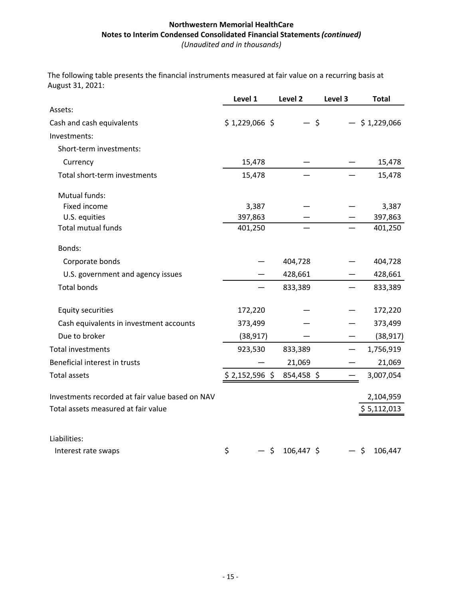The following table presents the financial instruments measured at fair value on a recurring basis at August 31, 2021:

|                                                 | Level 1         | Level 2      | Level 3 | <b>Total</b>    |
|-------------------------------------------------|-----------------|--------------|---------|-----------------|
| Assets:                                         |                 |              |         |                 |
| Cash and cash equivalents                       | $$1,229,066$ \$ | - \$         |         | $-$ \$1,229,066 |
| Investments:                                    |                 |              |         |                 |
| Short-term investments:                         |                 |              |         |                 |
| Currency                                        | 15,478          |              |         | 15,478          |
| Total short-term investments                    | 15,478          |              |         | 15,478          |
| Mutual funds:                                   |                 |              |         |                 |
| Fixed income                                    | 3,387           |              |         | 3,387           |
| U.S. equities                                   | 397,863         |              |         | 397,863         |
| <b>Total mutual funds</b>                       | 401,250         |              |         | 401,250         |
| Bonds:                                          |                 |              |         |                 |
| Corporate bonds                                 |                 | 404,728      |         | 404,728         |
| U.S. government and agency issues               |                 | 428,661      |         | 428,661         |
| <b>Total bonds</b>                              |                 | 833,389      |         | 833,389         |
| <b>Equity securities</b>                        | 172,220         |              |         | 172,220         |
| Cash equivalents in investment accounts         | 373,499         |              |         | 373,499         |
| Due to broker                                   | (38, 917)       |              |         | (38, 917)       |
| <b>Total investments</b>                        | 923,530         | 833,389      |         | 1,756,919       |
| Beneficial interest in trusts                   |                 | 21,069       |         | 21,069          |
| <b>Total assets</b>                             | $$2,152,596$ \$ | 854,458 \$   |         | 3,007,054       |
| Investments recorded at fair value based on NAV |                 |              |         | 2,104,959       |
| Total assets measured at fair value             |                 |              |         | \$5,112,013     |
|                                                 |                 |              |         |                 |
| Liabilities:                                    |                 |              |         |                 |
| Interest rate swaps                             | \$<br>— \$      | $106,447$ \$ |         | — \$<br>106,447 |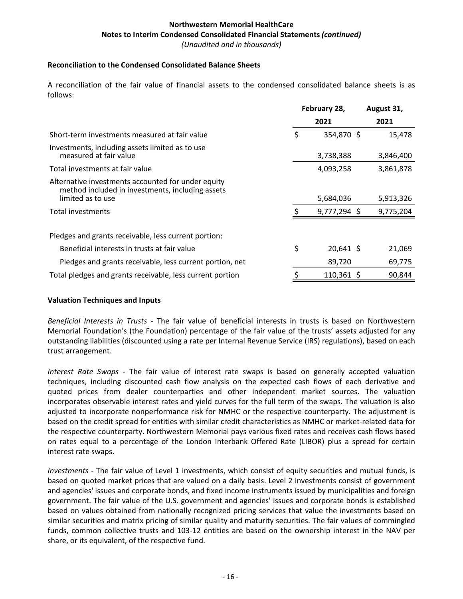#### **Reconciliation to the Condensed Consolidated Balance Sheets**

A reconciliation of the fair value of financial assets to the condensed consolidated balance sheets is as follows:

|                                                                                                                             | February 28, |                | August 31, |
|-----------------------------------------------------------------------------------------------------------------------------|--------------|----------------|------------|
|                                                                                                                             |              | 2021           | 2021       |
| Short-term investments measured at fair value                                                                               | \$           | 354,870 \$     | 15,478     |
| Investments, including assets limited as to use<br>measured at fair value                                                   |              | 3,738,388      | 3,846,400  |
| Total investments at fair value                                                                                             |              | 4,093,258      | 3,861,878  |
| Alternative investments accounted for under equity<br>method included in investments, including assets<br>limited as to use |              | 5,684,036      | 5,913,326  |
| Total investments                                                                                                           |              | $9,777,294$ \$ | 9,775,204  |
| Pledges and grants receivable, less current portion:                                                                        |              |                |            |
| Beneficial interests in trusts at fair value                                                                                | \$           | $20,641$ \$    | 21,069     |
| Pledges and grants receivable, less current portion, net                                                                    |              | 89,720         | 69,775     |
| Total pledges and grants receivable, less current portion                                                                   |              | $110,361$ \$   | 90,844     |

#### **Valuation Techniques and Inputs**

Beneficial Interests in Trusts - The fair value of beneficial interests in trusts is based on Northwestern Memorial Foundation's (the Foundation) percentage of the fair value of the trusts' assets adjusted for any outstanding liabilities (discounted using a rate per Internal Revenue Service (IRS) regulations), based on each trust arrangement.

*Interest Rate Swaps* - The fair value of interest rate swaps is based on generally accepted valuation techniques, including discounted cash flow analysis on the expected cash flows of each derivative and quoted prices from dealer counterparties and other independent market sources. The valuation incorporates observable interest rates and yield curves for the full term of the swaps. The valuation is also adjusted to incorporate nonperformance risk for NMHC or the respective counterparty. The adjustment is based on the credit spread for entities with similar credit characteristics as NMHC or market-related data for the respective counterparty. Northwestern Memorial pays various fixed rates and receives cash flows based on rates equal to a percentage of the London Interbank Offered Rate (LIBOR) plus a spread for certain interest rate swaps.

*Investments* - The fair value of Level 1 investments, which consist of equity securities and mutual funds, is based on quoted market prices that are valued on a daily basis. Level 2 investments consist of government and agencies' issues and corporate bonds, and fixed income instruments issued by municipalities and foreign government. The fair value of the U.S. government and agencies' issues and corporate bonds is established based on values obtained from nationally recognized pricing services that value the investments based on similar securities and matrix pricing of similar quality and maturity securities. The fair values of commingled funds, common collective trusts and 103-12 entities are based on the ownership interest in the NAV per share, or its equivalent, of the respective fund.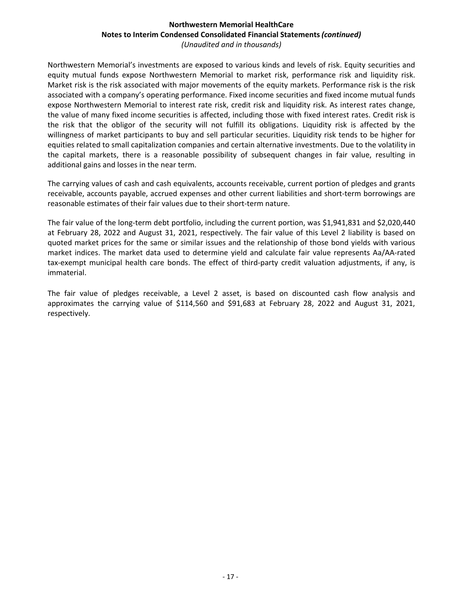Northwestern Memorial's investments are exposed to various kinds and levels of risk. Equity securities and equity mutual funds expose Northwestern Memorial to market risk, performance risk and liquidity risk. Market risk is the risk associated with major movements of the equity markets. Performance risk is the risk associated with a company's operating performance. Fixed income securities and fixed income mutual funds expose Northwestern Memorial to interest rate risk, credit risk and liquidity risk. As interest rates change, the value of many fixed income securities is affected, including those with fixed interest rates. Credit risk is the risk that the obligor of the security will not fulfill its obligations. Liquidity risk is affected by the willingness of market participants to buy and sell particular securities. Liquidity risk tends to be higher for equities related to small capitalization companies and certain alternative investments. Due to the volatility in the capital markets, there is a reasonable possibility of subsequent changes in fair value, resulting in additional gains and losses in the near term.

The carrying values of cash and cash equivalents, accounts receivable, current portion of pledges and grants receivable, accounts payable, accrued expenses and other current liabilities and short-term borrowings are reasonable estimates of their fair values due to their short-term nature.

The fair value of the long-term debt portfolio, including the current portion, was \$1,941,831 and \$2,020,440 at February 28, 2022 and August 31, 2021, respectively. The fair value of this Level 2 liability is based on quoted market prices for the same or similar issues and the relationship of those bond yields with various market indices. The market data used to determine yield and calculate fair value represents Aa/AA-rated tax-exempt municipal health care bonds. The effect of third-party credit valuation adjustments, if any, is immaterial.

The fair value of pledges receivable, a Level 2 asset, is based on discounted cash flow analysis and approximates the carrying value of \$114,560 and \$91,683 at February 28, 2022 and August 31, 2021, respectively.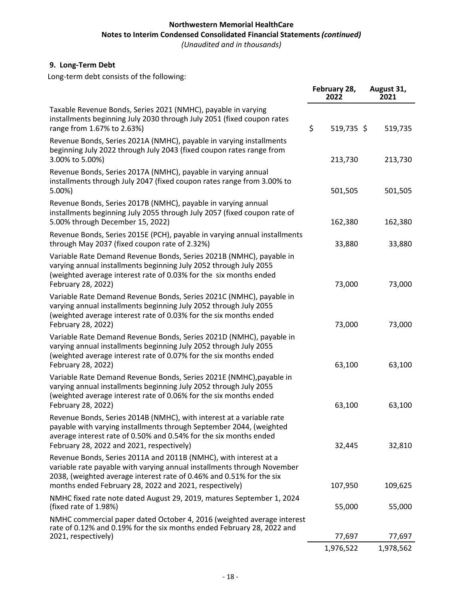# **Northwestern Memorial HealthCare Notes to Interim Condensed Consolidated Financial Statements (continued)**

*(Unaudited and in thousands)*

# **9. Long-Term Debt**

Long-term debt consists of the following:

|                                                                                                                                                                                                                                                                               | February 28,<br>2022 | August 31,<br>2021 |
|-------------------------------------------------------------------------------------------------------------------------------------------------------------------------------------------------------------------------------------------------------------------------------|----------------------|--------------------|
| Taxable Revenue Bonds, Series 2021 (NMHC), payable in varying<br>installments beginning July 2030 through July 2051 (fixed coupon rates<br>range from 1.67% to 2.63%)                                                                                                         | \$<br>519,735 \$     | 519,735            |
| Revenue Bonds, Series 2021A (NMHC), payable in varying installments<br>beginning July 2022 through July 2043 (fixed coupon rates range from<br>3.00% to 5.00%)                                                                                                                | 213,730              | 213,730            |
| Revenue Bonds, Series 2017A (NMHC), payable in varying annual<br>installments through July 2047 (fixed coupon rates range from 3.00% to<br>5.00%                                                                                                                              | 501,505              | 501,505            |
| Revenue Bonds, Series 2017B (NMHC), payable in varying annual<br>installments beginning July 2055 through July 2057 (fixed coupon rate of<br>5.00% through December 15, 2022)                                                                                                 | 162,380              | 162,380            |
| Revenue Bonds, Series 2015E (PCH), payable in varying annual installments<br>through May 2037 (fixed coupon rate of 2.32%)                                                                                                                                                    | 33,880               | 33,880             |
| Variable Rate Demand Revenue Bonds, Series 2021B (NMHC), payable in<br>varying annual installments beginning July 2052 through July 2055<br>(weighted average interest rate of 0.03% for the six months ended<br>February 28, 2022)                                           | 73,000               | 73,000             |
| Variable Rate Demand Revenue Bonds, Series 2021C (NMHC), payable in<br>varying annual installments beginning July 2052 through July 2055<br>(weighted average interest rate of 0.03% for the six months ended<br>February 28, 2022)                                           | 73,000               | 73,000             |
| Variable Rate Demand Revenue Bonds, Series 2021D (NMHC), payable in<br>varying annual installments beginning July 2052 through July 2055<br>(weighted average interest rate of 0.07% for the six months ended<br>February 28, 2022)                                           | 63,100               | 63,100             |
| Variable Rate Demand Revenue Bonds, Series 2021E (NMHC), payable in<br>varying annual installments beginning July 2052 through July 2055<br>(weighted average interest rate of 0.06% for the six months ended<br>February 28, 2022)                                           | 63,100               | 63,100             |
| Revenue Bonds, Series 2014B (NMHC), with interest at a variable rate<br>payable with varying installments through September 2044, (weighted<br>average interest rate of 0.50% and 0.54% for the six months ended<br>February 28, 2022 and 2021, respectively)                 | 32,445               | 32,810             |
| Revenue Bonds, Series 2011A and 2011B (NMHC), with interest at a<br>variable rate payable with varying annual installments through November<br>2038, (weighted average interest rate of 0.46% and 0.51% for the six<br>months ended February 28, 2022 and 2021, respectively) | 107,950              | 109,625            |
| NMHC fixed rate note dated August 29, 2019, matures September 1, 2024<br>(fixed rate of 1.98%)                                                                                                                                                                                | 55,000               | 55,000             |
| NMHC commercial paper dated October 4, 2016 (weighted average interest<br>rate of 0.12% and 0.19% for the six months ended February 28, 2022 and<br>2021, respectively)                                                                                                       | 77,697               | 77,697             |
|                                                                                                                                                                                                                                                                               | 1,976,522            | 1,978,562          |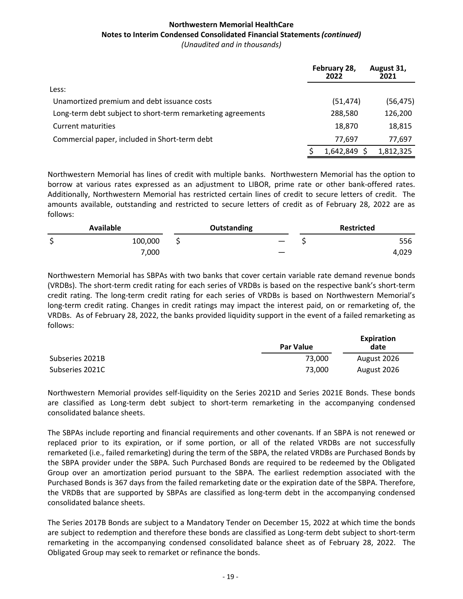|                                                             | February 28,<br>2022 | August 31,<br>2021 |
|-------------------------------------------------------------|----------------------|--------------------|
| Less:                                                       |                      |                    |
| Unamortized premium and debt issuance costs                 | (51, 474)            | (56, 475)          |
| Long-term debt subject to short-term remarketing agreements | 288,580              | 126,200            |
| <b>Current maturities</b>                                   | 18,870               | 18,815             |
| Commercial paper, included in Short-term debt               | 77,697               | 77,697             |
|                                                             | 1,642,849            | 1,812,325          |

Northwestern Memorial has lines of credit with multiple banks. Northwestern Memorial has the option to borrow at various rates expressed as an adjustment to LIBOR, prime rate or other bank-offered rates. Additionally, Northwestern Memorial has restricted certain lines of credit to secure letters of credit. The amounts available, outstanding and restricted to secure letters of credit as of February 28, 2022 are as follows:

| Available |         | Outstanding | <b>Restricted</b> |  |  |
|-----------|---------|-------------|-------------------|--|--|
| ¢<br>پ    | 100,000 |             | 556               |  |  |
|           | 7,000   | __          | 4,029             |  |  |

Northwestern Memorial has SBPAs with two banks that cover certain variable rate demand revenue bonds (VRDBs). The short-term credit rating for each series of VRDBs is based on the respective bank's short-term credit rating. The long-term credit rating for each series of VRDBs is based on Northwestern Memorial's long-term credit rating. Changes in credit ratings may impact the interest paid, on or remarketing of, the VRDBs. As of February 28, 2022, the banks provided liquidity support in the event of a failed remarketing as follows:

|                 | <b>Par Value</b> | Expiration<br>date |
|-----------------|------------------|--------------------|
| Subseries 2021B | 73.000           | August 2026        |
| Subseries 2021C | 73.000           | August 2026        |

**Expiration**

Northwestern Memorial provides self-liquidity on the Series 2021D and Series 2021E Bonds. These bonds are classified as Long-term debt subject to short-term remarketing in the accompanying condensed consolidated balance sheets.

The SBPAs include reporting and financial requirements and other covenants. If an SBPA is not renewed or replaced prior to its expiration, or if some portion, or all of the related VRDBs are not successfully remarketed (i.e., failed remarketing) during the term of the SBPA, the related VRDBs are Purchased Bonds by the SBPA provider under the SBPA. Such Purchased Bonds are required to be redeemed by the Obligated Group over an amortization period pursuant to the SBPA. The earliest redemption associated with the Purchased Bonds is 367 days from the failed remarketing date or the expiration date of the SBPA. Therefore, the VRDBs that are supported by SBPAs are classified as long-term debt in the accompanying condensed consolidated balance sheets.

The Series 2017B Bonds are subject to a Mandatory Tender on December 15, 2022 at which time the bonds are subject to redemption and therefore these bonds are classified as Long-term debt subject to short-term remarketing in the accompanying condensed consolidated balance sheet as of February 28, 2022. The Obligated Group may seek to remarket or refinance the bonds.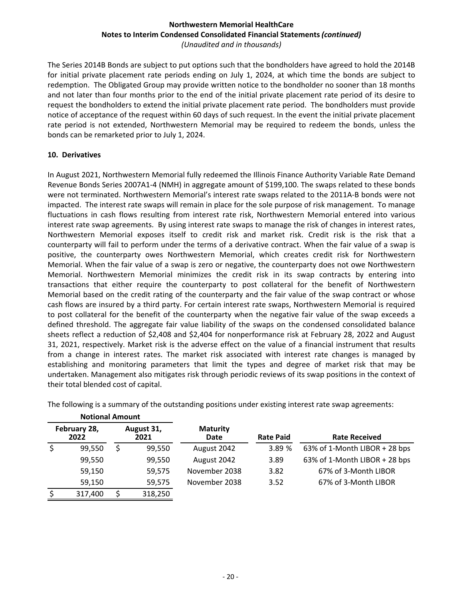The Series 2014B Bonds are subject to put options such that the bondholders have agreed to hold the 2014B for initial private placement rate periods ending on July 1, 2024, at which time the bonds are subject to redemption. The Obligated Group may provide written notice to the bondholder no sooner than 18 months and not later than four months prior to the end of the initial private placement rate period of its desire to request the bondholders to extend the initial private placement rate period. The bondholders must provide notice of acceptance of the request within 60 days of such request. In the event the initial private placement rate period is not extended, Northwestern Memorial may be required to redeem the bonds, unless the bonds can be remarketed prior to July 1, 2024.

# **10. Derivatives**

In August 2021, Northwestern Memorial fully redeemed the Illinois Finance Authority Variable Rate Demand Revenue Bonds Series 2007A1-4 (NMH) in aggregate amount of \$199,100. The swaps related to these bonds were not terminated. Northwestern Memorial's interest rate swaps related to the 2011A-B bonds were not impacted. The interest rate swaps will remain in place for the sole purpose of risk management. To manage fluctuations in cash flows resulting from interest rate risk, Northwestern Memorial entered into various interest rate swap agreements. By using interest rate swaps to manage the risk of changes in interest rates, Northwestern Memorial exposes itself to credit risk and market risk. Credit risk is the risk that a counterparty will fail to perform under the terms of a derivative contract. When the fair value of a swap is positive, the counterparty owes Northwestern Memorial, which creates credit risk for Northwestern Memorial. When the fair value of a swap is zero or negative, the counterparty does not owe Northwestern Memorial. Northwestern Memorial minimizes the credit risk in its swap contracts by entering into transactions that either require the counterparty to post collateral for the benefit of Northwestern Memorial based on the credit rating of the counterparty and the fair value of the swap contract or whose cash flows are insured by a third party. For certain interest rate swaps, Northwestern Memorial is required to post collateral for the benefit of the counterparty when the negative fair value of the swap exceeds a defined threshold. The aggregate fair value liability of the swaps on the condensed consolidated balance sheets reflect a reduction of \$2,408 and \$2,404 for nonperformance risk at February 28, 2022 and August 31, 2021, respectively. Market risk is the adverse effect on the value of a financial instrument that results from a change in interest rates. The market risk associated with interest rate changes is managed by establishing and monitoring parameters that limit the types and degree of market risk that may be undertaken. Management also mitigates risk through periodic reviews of its swap positions in the context of their total blended cost of capital.

| <b>Notional Amount</b> |                      |   |                    |                         |                  |                               |
|------------------------|----------------------|---|--------------------|-------------------------|------------------|-------------------------------|
|                        | February 28,<br>2022 |   | August 31,<br>2021 | <b>Maturity</b><br>Date | <b>Rate Paid</b> | <b>Rate Received</b>          |
|                        | 99,550               | Ś | 99,550             | August 2042             | 3.89 %           | 63% of 1-Month LIBOR + 28 bps |
|                        | 99,550               |   | 99,550             | August 2042             | 3.89             | 63% of 1-Month LIBOR + 28 bps |
|                        | 59,150               |   | 59,575             | November 2038           | 3.82             | 67% of 3-Month LIBOR          |
|                        | 59,150               |   | 59,575             | November 2038           | 3.52             | 67% of 3-Month LIBOR          |
| \$                     | 317,400              |   | 318,250            |                         |                  |                               |

The following is a summary of the outstanding positions under existing interest rate swap agreements: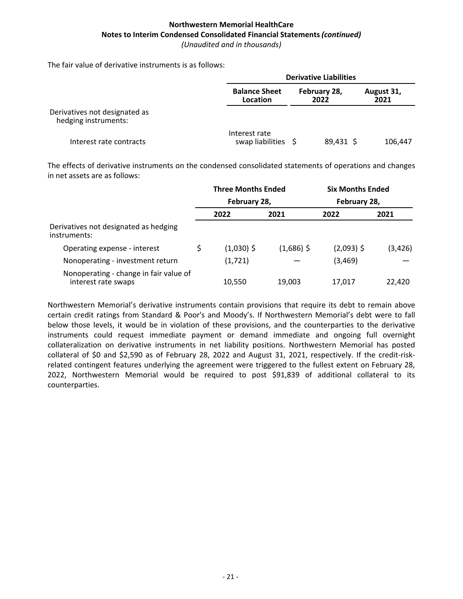The fair value of derivative instruments is as follows:

|                                                       | <b>Derivative Liabilities</b>        |                      |                    |  |  |  |  |
|-------------------------------------------------------|--------------------------------------|----------------------|--------------------|--|--|--|--|
|                                                       | <b>Balance Sheet</b><br>Location     | February 28,<br>2022 | August 31,<br>2021 |  |  |  |  |
| Derivatives not designated as<br>hedging instruments: |                                      |                      |                    |  |  |  |  |
| Interest rate contracts                               | Interest rate<br>swap liabilities \$ | 89,431 \$            | 106,447            |  |  |  |  |

The effects of derivative instruments on the condensed consolidated statements of operations and changes in net assets are as follows:

|                                                               | <b>Three Months Ended</b> |              | <b>Six Months Ended</b> |          |
|---------------------------------------------------------------|---------------------------|--------------|-------------------------|----------|
|                                                               | February 28,              |              | February 28,            |          |
|                                                               | 2022                      | 2021         | 2022                    | 2021     |
| Derivatives not designated as hedging<br>instruments:         |                           |              |                         |          |
| Operating expense - interest                                  | $(1,030)$ \$              | $(1,686)$ \$ | $(2,093)$ \$            | (3, 426) |
| Nonoperating - investment return                              | (1,721)                   |              | (3, 469)                |          |
| Nonoperating - change in fair value of<br>interest rate swaps | 10,550                    | 19,003       | 17,017                  | 22,420   |

Northwestern Memorial's derivative instruments contain provisions that require its debt to remain above certain credit ratings from Standard & Poor's and Moody's. If Northwestern Memorial's debt were to fall below those levels, it would be in violation of these provisions, and the counterparties to the derivative instruments could request immediate payment or demand immediate and ongoing full overnight collateralization on derivative instruments in net liability positions. Northwestern Memorial has posted collateral of \$0 and \$2,590 as of February 28, 2022 and August 31, 2021, respectively. If the credit-riskrelated contingent features underlying the agreement were triggered to the fullest extent on February 28, 2022, Northwestern Memorial would be required to post \$91,839 of additional collateral to its counterparties.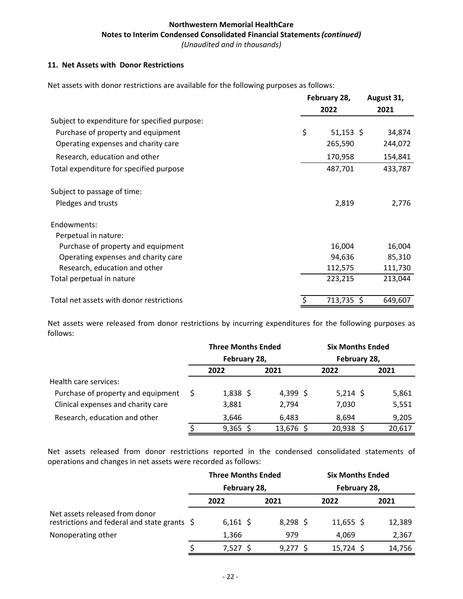#### 11. Net Assets with Donor Restrictions

Net assets with donor restrictions are available for the following purposes as follows:

|                                               | February 28, |             | August 31, |  |  |
|-----------------------------------------------|--------------|-------------|------------|--|--|
|                                               |              | 2022        | 2021       |  |  |
| Subject to expenditure for specified purpose: |              |             |            |  |  |
| Purchase of property and equipment            | \$           | $51,153$ \$ | 34,874     |  |  |
| Operating expenses and charity care           |              | 265,590     | 244,072    |  |  |
| Research, education and other                 |              | 170,958     | 154,841    |  |  |
| Total expenditure for specified purpose       |              | 487,701     | 433,787    |  |  |
| Subject to passage of time:                   |              |             |            |  |  |
| Pledges and trusts                            |              | 2,819       | 2,776      |  |  |
| Endowments:                                   |              |             |            |  |  |
| Perpetual in nature:                          |              |             |            |  |  |
| Purchase of property and equipment            |              | 16,004      | 16,004     |  |  |
| Operating expenses and charity care           |              | 94,636      | 85,310     |  |  |
| Research, education and other                 |              | 112,575     | 111,730    |  |  |
| Total perpetual in nature                     |              | 223,215     | 213,044    |  |  |
| Total net assets with donor restrictions      |              | 713,735 \$  | 649,607    |  |  |

Net assets were released from donor restrictions by incurring expenditures for the following purposes as follows:

|                                    | <b>Three Months Ended</b> |           | <b>Six Months Ended</b> |        |  |  |
|------------------------------------|---------------------------|-----------|-------------------------|--------|--|--|
|                                    | February 28,              |           | February 28,            |        |  |  |
|                                    | 2022                      | 2021      | 2022                    | 2021   |  |  |
| Health care services:              |                           |           |                         |        |  |  |
| Purchase of property and equipment | $1,838$ \$                | 4,399 \$  | $5,214$ \$              | 5,861  |  |  |
| Clinical expenses and charity care | 3,881                     | 2,794     | 7,030                   | 5,551  |  |  |
| Research, education and other      | 3.646                     | 6.483     | 8.694                   | 9,205  |  |  |
|                                    | $9,365$ \$                | 13,676 \$ | $20,938$ \$             | 20,617 |  |  |

Net assets released from donor restrictions reported in the condensed consolidated statements of operations and changes in net assets were recorded as follows:

|                                                                                |  | <b>Three Months Ended</b> |            | <b>Six Months Ended</b> |        |
|--------------------------------------------------------------------------------|--|---------------------------|------------|-------------------------|--------|
|                                                                                |  | February 28,              |            | February 28,            |        |
|                                                                                |  | 2022                      | 2021       | 2022                    | 2021   |
| Net assets released from donor<br>restrictions and federal and state grants \$ |  | $6,161$ \$                | $8,298$ \$ | $11,655$ \$             | 12,389 |
| Nonoperating other                                                             |  | 1,366                     | 979        | 4.069                   | 2,367  |
|                                                                                |  | 7,527 \$                  | $9,277$ \$ | $15,724$ \$             | 14,756 |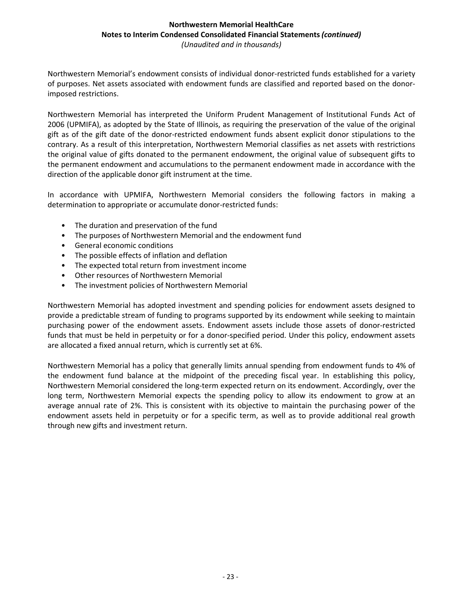Northwestern Memorial's endowment consists of individual donor-restricted funds established for a variety of purposes. Net assets associated with endowment funds are classified and reported based on the donorimposed restrictions.

Northwestern Memorial has interpreted the Uniform Prudent Management of Institutional Funds Act of 2006 (UPMIFA), as adopted by the State of Illinois, as requiring the preservation of the value of the original gift as of the gift date of the donor-restricted endowment funds absent explicit donor stipulations to the contrary. As a result of this interpretation, Northwestern Memorial classifies as net assets with restrictions the original value of gifts donated to the permanent endowment, the original value of subsequent gifts to the permanent endowment and accumulations to the permanent endowment made in accordance with the direction of the applicable donor gift instrument at the time.

In accordance with UPMIFA, Northwestern Memorial considers the following factors in making a determination to appropriate or accumulate donor-restricted funds:

- The duration and preservation of the fund
- The purposes of Northwestern Memorial and the endowment fund
- General economic conditions
- The possible effects of inflation and deflation
- The expected total return from investment income
- Other resources of Northwestern Memorial
- The investment policies of Northwestern Memorial

Northwestern Memorial has adopted investment and spending policies for endowment assets designed to provide a predictable stream of funding to programs supported by its endowment while seeking to maintain purchasing power of the endowment assets. Endowment assets include those assets of donor-restricted funds that must be held in perpetuity or for a donor-specified period. Under this policy, endowment assets are allocated a fixed annual return, which is currently set at 6%.

Northwestern Memorial has a policy that generally limits annual spending from endowment funds to 4% of the endowment fund balance at the midpoint of the preceding fiscal year. In establishing this policy, Northwestern Memorial considered the long-term expected return on its endowment. Accordingly, over the long term, Northwestern Memorial expects the spending policy to allow its endowment to grow at an average annual rate of 2%. This is consistent with its objective to maintain the purchasing power of the endowment assets held in perpetuity or for a specific term, as well as to provide additional real growth through new gifts and investment return.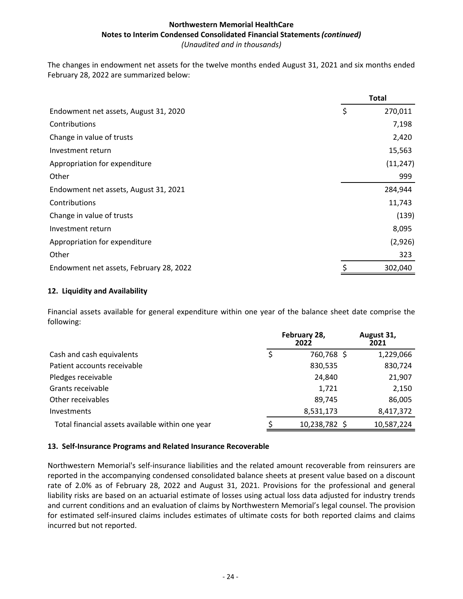The changes in endowment net assets for the twelve months ended August 31, 2021 and six months ended February 28, 2022 are summarized below:

|                                         | <b>Total</b>  |
|-----------------------------------------|---------------|
| Endowment net assets, August 31, 2020   | \$<br>270,011 |
| Contributions                           | 7,198         |
| Change in value of trusts               | 2,420         |
| Investment return                       | 15,563        |
| Appropriation for expenditure           | (11, 247)     |
| Other                                   | 999           |
| Endowment net assets, August 31, 2021   | 284,944       |
| Contributions                           | 11,743        |
| Change in value of trusts               | (139)         |
| Investment return                       | 8,095         |
| Appropriation for expenditure           | (2,926)       |
| Other                                   | 323           |
| Endowment net assets, February 28, 2022 | 302,040       |

# **12. Liquidity and Availability**

Financial assets available for general expenditure within one year of the balance sheet date comprise the following:

|                                                  | February 28,<br>2022 | August 31,<br>2021 |  |  |
|--------------------------------------------------|----------------------|--------------------|--|--|
| Cash and cash equivalents                        | 760,768 \$           | 1,229,066          |  |  |
| Patient accounts receivable                      | 830,535              | 830,724            |  |  |
| Pledges receivable                               | 24,840               | 21,907             |  |  |
| Grants receivable                                | 1,721                | 2,150              |  |  |
| Other receivables                                | 89,745               | 86,005             |  |  |
| <b>Investments</b>                               | 8,531,173            | 8,417,372          |  |  |
| Total financial assets available within one year | 10,238,782 \$        | 10,587,224         |  |  |

# 13. Self-Insurance Programs and Related Insurance Recoverable

Northwestern Memorial's self-insurance liabilities and the related amount recoverable from reinsurers are reported in the accompanying condensed consolidated balance sheets at present value based on a discount rate of 2.0% as of February 28, 2022 and August 31, 2021. Provisions for the professional and general liability risks are based on an actuarial estimate of losses using actual loss data adjusted for industry trends and current conditions and an evaluation of claims by Northwestern Memorial's legal counsel. The provision for estimated self-insured claims includes estimates of ultimate costs for both reported claims and claims incurred but not reported.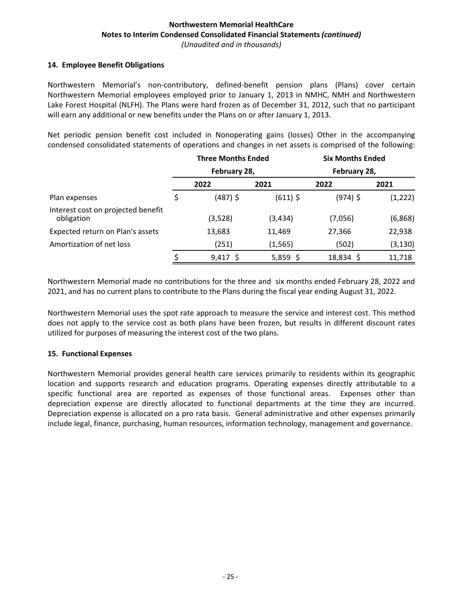#### 14. **Employee Benefit Obligations**

Northwestern Memorial's non-contributory, defined-benefit pension plans (Plans) cover certain Northwestern Memorial employees employed prior to January 1, 2013 in NMHC, NMH and Northwestern Lake Forest Hospital (NLFH). The Plans were hard frozen as of December 31, 2012, such that no participant will earn any additional or new benefits under the Plans on or after January 1, 2013.

Net periodic pension benefit cost included in Nonoperating gains (losses) Other in the accompanying condensed consolidated statements of operations and changes in net assets is comprised of the following:

|                                                  | <b>Three Months Ended</b> |              | <b>Six Months Ended</b> |              |          |
|--------------------------------------------------|---------------------------|--------------|-------------------------|--------------|----------|
|                                                  |                           | February 28, |                         | February 28, |          |
| Plan expenses                                    |                           | 2022         | 2021                    | 2022         | 2021     |
|                                                  |                           | $(487)$ \$   | $(611)$ \$              | $(974)$ \$   | (1, 222) |
| Interest cost on projected benefit<br>obligation |                           | (3,528)      | (3,434)                 | (7,056)      | (6,868)  |
| Expected return on Plan's assets                 |                           | 13,683       | 11,469                  | 27,366       | 22,938   |
| Amortization of net loss                         |                           | (251)        | (1, 565)                | (502)        | (3, 130) |
|                                                  |                           | $9,417$ \$   | 5,859 \$                | 18,834 \$    | 11,718   |

Northwestern Memorial made no contributions for the three and six months ended February 28, 2022 and 2021, and has no current plans to contribute to the Plans during the fiscal year ending August 31, 2022.

Northwestern Memorial uses the spot rate approach to measure the service and interest cost. This method does not apply to the service cost as both plans have been frozen, but results in different discount rates utilized for purposes of measuring the interest cost of the two plans.

#### **15. Functional Expenses**

Northwestern Memorial provides general health care services primarily to residents within its geographic location and supports research and education programs. Operating expenses directly attributable to a specific functional area are reported as expenses of those functional areas. Expenses other than depreciation expense are directly allocated to functional departments at the time they are incurred. Depreciation expense is allocated on a pro rata basis. General administrative and other expenses primarily include legal, finance, purchasing, human resources, information technology, management and governance.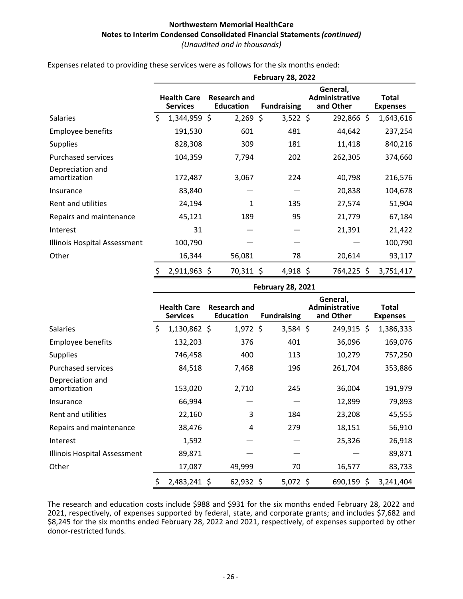|                                  | <b>February 28, 2022</b> |                                       |                                         |            |                    |            |                                         |            |     |                                 |  |
|----------------------------------|--------------------------|---------------------------------------|-----------------------------------------|------------|--------------------|------------|-----------------------------------------|------------|-----|---------------------------------|--|
|                                  |                          | <b>Health Care</b><br><b>Services</b> | <b>Research and</b><br><b>Education</b> |            | <b>Fundraising</b> |            | General,<br>Administrative<br>and Other |            |     | <b>Total</b><br><b>Expenses</b> |  |
| <b>Salaries</b>                  | \$                       | 1,344,959 \$                          |                                         | $2,269$ \$ |                    | $3,522$ \$ |                                         | 292,866 \$ |     | 1,643,616                       |  |
| <b>Employee benefits</b>         |                          | 191,530                               |                                         | 601        |                    | 481        |                                         | 44,642     |     | 237,254                         |  |
| <b>Supplies</b>                  |                          | 828,308                               |                                         | 309        |                    | 181        |                                         | 11,418     |     | 840,216                         |  |
| <b>Purchased services</b>        |                          | 104,359                               |                                         | 7,794      |                    | 202        |                                         | 262,305    |     | 374,660                         |  |
| Depreciation and<br>amortization |                          | 172,487                               |                                         | 3,067      |                    | 224        |                                         | 40,798     |     | 216,576                         |  |
| Insurance                        |                          | 83,840                                |                                         |            |                    |            |                                         | 20,838     |     | 104,678                         |  |
| Rent and utilities               |                          | 24,194                                |                                         | 1          |                    | 135        |                                         | 27,574     |     | 51,904                          |  |
| Repairs and maintenance          |                          | 45,121                                |                                         | 189        |                    | 95         |                                         | 21,779     |     | 67,184                          |  |
| Interest                         |                          | 31                                    |                                         |            |                    |            |                                         | 21,391     |     | 21,422                          |  |
| Illinois Hospital Assessment     |                          | 100,790                               |                                         |            |                    |            |                                         |            |     | 100,790                         |  |
| Other                            |                          | 16,344                                |                                         | 56,081     |                    | 78         |                                         | 20,614     |     | 93,117                          |  |
|                                  | \$,                      | 2,911,963 \$                          |                                         | 70,311 \$  |                    | 4,918 \$   |                                         | 764,225    | \$. | 3,751,417                       |  |

Expenses related to providing these services were as follows for the six months ended:

|                                  | <b>February 28, 2021</b> |                                       |                                         |  |                    |  |                                                |  |                                 |  |
|----------------------------------|--------------------------|---------------------------------------|-----------------------------------------|--|--------------------|--|------------------------------------------------|--|---------------------------------|--|
|                                  |                          | <b>Health Care</b><br><b>Services</b> | <b>Research and</b><br><b>Education</b> |  | <b>Fundraising</b> |  | General,<br><b>Administrative</b><br>and Other |  | <b>Total</b><br><b>Expenses</b> |  |
| Salaries                         | \$                       | $1,130,862$ \$                        | $1,972$ \$                              |  | $3,584$ \$         |  | 249,915 \$                                     |  | 1,386,333                       |  |
| <b>Employee benefits</b>         |                          | 132,203                               | 376                                     |  | 401                |  | 36,096                                         |  | 169,076                         |  |
| <b>Supplies</b>                  |                          | 746,458                               | 400                                     |  | 113                |  | 10,279                                         |  | 757,250                         |  |
| <b>Purchased services</b>        |                          | 84,518                                | 7,468                                   |  | 196                |  | 261,704                                        |  | 353,886                         |  |
| Depreciation and<br>amortization |                          | 153,020                               | 2,710                                   |  | 245                |  | 36,004                                         |  | 191,979                         |  |
| Insurance                        |                          | 66,994                                |                                         |  |                    |  | 12,899                                         |  | 79,893                          |  |
| Rent and utilities               |                          | 22,160                                | 3                                       |  | 184                |  | 23,208                                         |  | 45,555                          |  |
| Repairs and maintenance          |                          | 38,476                                | 4                                       |  | 279                |  | 18,151                                         |  | 56,910                          |  |
| Interest                         |                          | 1,592                                 |                                         |  |                    |  | 25,326                                         |  | 26,918                          |  |
| Illinois Hospital Assessment     |                          | 89,871                                |                                         |  |                    |  |                                                |  | 89,871                          |  |
| Other                            |                          | 17,087                                | 49,999                                  |  | 70                 |  | 16,577                                         |  | 83,733                          |  |
|                                  | \$                       | 2,483,241 \$                          | 62,932 \$                               |  | $5,072$ \$         |  | $690,159$ \$                                   |  | 3,241,404                       |  |

The research and education costs include \$988 and \$931 for the six months ended February 28, 2022 and 2021, respectively, of expenses supported by federal, state, and corporate grants; and includes \$7,682 and \$8,245 for the six months ended February 28, 2022 and 2021, respectively, of expenses supported by other donor-restricted funds.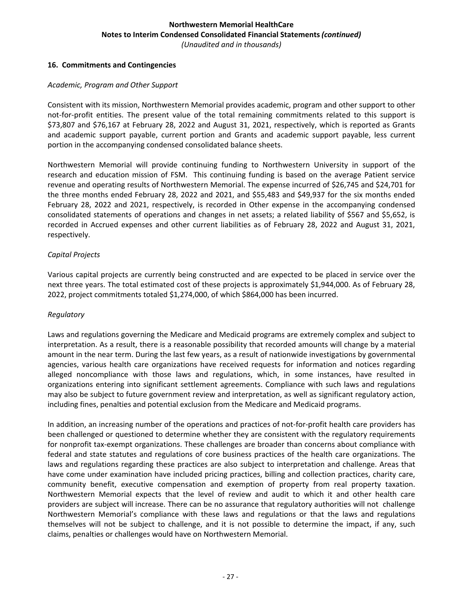#### **16. Commitments and Contingencies**

#### *Academic, Program and Other Support*

Consistent with its mission, Northwestern Memorial provides academic, program and other support to other not-for-profit entities. The present value of the total remaining commitments related to this support is \$73,807 and \$76,167 at February 28, 2022 and August 31, 2021, respectively, which is reported as Grants and academic support payable, current portion and Grants and academic support payable, less current portion in the accompanying condensed consolidated balance sheets.

Northwestern Memorial will provide continuing funding to Northwestern University in support of the research and education mission of FSM. This continuing funding is based on the average Patient service revenue and operating results of Northwestern Memorial. The expense incurred of \$26,745 and \$24,701 for the three months ended February 28, 2022 and 2021, and \$55,483 and \$49,937 for the six months ended February 28, 2022 and 2021, respectively, is recorded in Other expense in the accompanying condensed consolidated statements of operations and changes in net assets; a related liability of \$567 and \$5,652, is recorded in Accrued expenses and other current liabilities as of February 28, 2022 and August 31, 2021, respectively. 

#### *Capital Projects*

Various capital projects are currently being constructed and are expected to be placed in service over the next three years. The total estimated cost of these projects is approximately \$1,944,000. As of February 28, 2022, project commitments totaled \$1,274,000, of which \$864,000 has been incurred.

#### *Regulatory*

Laws and regulations governing the Medicare and Medicaid programs are extremely complex and subject to interpretation. As a result, there is a reasonable possibility that recorded amounts will change by a material amount in the near term. During the last few years, as a result of nationwide investigations by governmental agencies, various health care organizations have received requests for information and notices regarding alleged noncompliance with those laws and regulations, which, in some instances, have resulted in organizations entering into significant settlement agreements. Compliance with such laws and regulations may also be subject to future government review and interpretation, as well as significant regulatory action, including fines, penalties and potential exclusion from the Medicare and Medicaid programs.

In addition, an increasing number of the operations and practices of not-for-profit health care providers has been challenged or questioned to determine whether they are consistent with the regulatory requirements for nonprofit tax-exempt organizations. These challenges are broader than concerns about compliance with federal and state statutes and regulations of core business practices of the health care organizations. The laws and regulations regarding these practices are also subject to interpretation and challenge. Areas that have come under examination have included pricing practices, billing and collection practices, charity care, community benefit, executive compensation and exemption of property from real property taxation. Northwestern Memorial expects that the level of review and audit to which it and other health care providers are subject will increase. There can be no assurance that regulatory authorities will not challenge Northwestern Memorial's compliance with these laws and regulations or that the laws and regulations themselves will not be subject to challenge, and it is not possible to determine the impact, if any, such claims, penalties or challenges would have on Northwestern Memorial.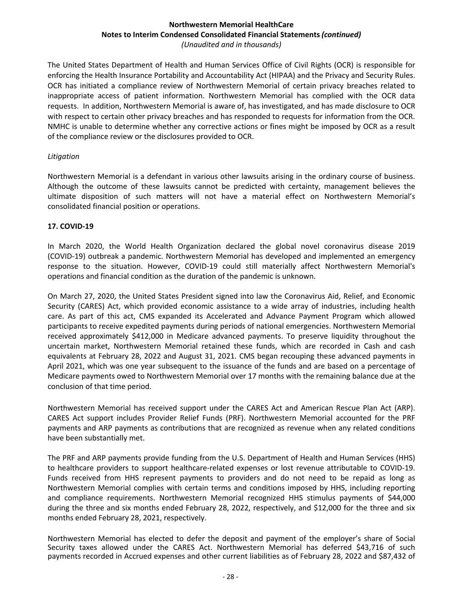The United States Department of Health and Human Services Office of Civil Rights (OCR) is responsible for enforcing the Health Insurance Portability and Accountability Act (HIPAA) and the Privacy and Security Rules. OCR has initiated a compliance review of Northwestern Memorial of certain privacy breaches related to inappropriate access of patient information. Northwestern Memorial has complied with the OCR data requests. In addition, Northwestern Memorial is aware of, has investigated, and has made disclosure to OCR with respect to certain other privacy breaches and has responded to requests for information from the OCR. NMHC is unable to determine whether any corrective actions or fines might be imposed by OCR as a result of the compliance review or the disclosures provided to OCR.

#### *Litigation*

Northwestern Memorial is a defendant in various other lawsuits arising in the ordinary course of business. Although the outcome of these lawsuits cannot be predicted with certainty, management believes the ultimate disposition of such matters will not have a material effect on Northwestern Memorial's consolidated financial position or operations.

# **17. COVID-19**

In March 2020, the World Health Organization declared the global novel coronavirus disease 2019 (COVID-19) outbreak a pandemic. Northwestern Memorial has developed and implemented an emergency response to the situation. However, COVID-19 could still materially affect Northwestern Memorial's operations and financial condition as the duration of the pandemic is unknown.

On March 27, 2020, the United States President signed into law the Coronavirus Aid, Relief, and Economic Security (CARES) Act, which provided economic assistance to a wide array of industries, including health care. As part of this act, CMS expanded its Accelerated and Advance Payment Program which allowed participants to receive expedited payments during periods of national emergencies. Northwestern Memorial received approximately \$412,000 in Medicare advanced payments. To preserve liquidity throughout the uncertain market, Northwestern Memorial retained these funds, which are recorded in Cash and cash equivalents at February 28, 2022 and August 31, 2021. CMS began recouping these advanced payments in April 2021, which was one year subsequent to the issuance of the funds and are based on a percentage of Medicare payments owed to Northwestern Memorial over 17 months with the remaining balance due at the conclusion of that time period.

Northwestern Memorial has received support under the CARES Act and American Rescue Plan Act (ARP). CARES Act support includes Provider Relief Funds (PRF). Northwestern Memorial accounted for the PRF payments and ARP payments as contributions that are recognized as revenue when any related conditions have been substantially met.

The PRF and ARP payments provide funding from the U.S. Department of Health and Human Services (HHS) to healthcare providers to support healthcare-related expenses or lost revenue attributable to COVID-19. Funds received from HHS represent payments to providers and do not need to be repaid as long as Northwestern Memorial complies with certain terms and conditions imposed by HHS, including reporting and compliance requirements. Northwestern Memorial recognized HHS stimulus payments of \$44,000 during the three and six months ended February 28, 2022, respectively, and \$12,000 for the three and six months ended February 28, 2021, respectively.

Northwestern Memorial has elected to defer the deposit and payment of the employer's share of Social Security taxes allowed under the CARES Act. Northwestern Memorial has deferred \$43,716 of such payments recorded in Accrued expenses and other current liabilities as of February 28, 2022 and \$87,432 of